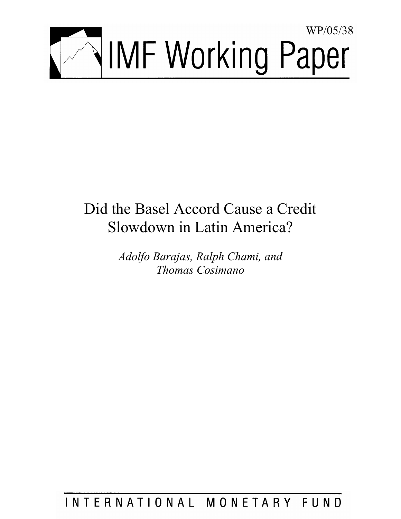

# Did the Basel Accord Cause a Credit Slowdown in Latin America?

*Adolfo Barajas, Ralph Chami, and Thomas Cosimano* 

INTERNATIONAL MONETARY FUND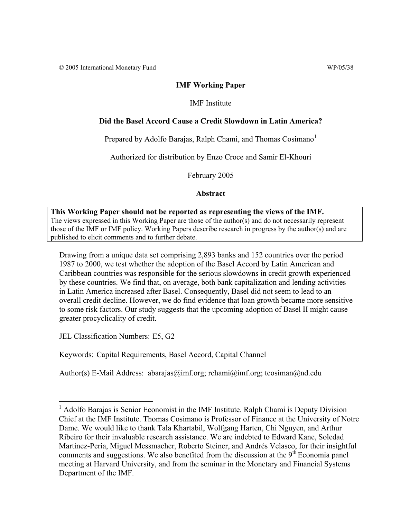© 2005 International Monetary Fund WP/05/38

#### **IMF Working Paper**

#### IMF Institute

#### **Did the Basel Accord Cause a Credit Slowdown in Latin America?**

Prepared by Adolfo Barajas, Ralph Chami, and Thomas  $Cosimano<sup>1</sup>$ 

Authorized for distribution by Enzo Croce and Samir El-Khouri

February 2005

**Abstract**

**This Working Paper should not be reported as representing the views of the IMF.** The views expressed in this Working Paper are those of the author(s) and do not necessarily represent those of the IMF or IMF policy. Working Papers describe research in progress by the author(s) and are published to elicit comments and to further debate.

Drawing from a unique data set comprising 2,893 banks and 152 countries over the period 1987 to 2000, we test whether the adoption of the Basel Accord by Latin American and Caribbean countries was responsible for the serious slowdowns in credit growth experienced by these countries. We find that, on average, both bank capitalization and lending activities in Latin America increased after Basel. Consequently, Basel did not seem to lead to an overall credit decline. However, we do find evidence that loan growth became more sensitive to some risk factors. Our study suggests that the upcoming adoption of Basel II might cause greater procyclicality of credit.

JEL Classification Numbers: E5, G2

 $\overline{a}$ 

Keywords: Capital Requirements, Basel Accord, Capital Channel

Author(s) E-Mail Address: abarajas@imf.org; rchami@imf.org; tcosiman@nd.edu

<sup>&</sup>lt;sup>1</sup> Adolfo Barajas is Senior Economist in the IMF Institute. Ralph Chami is Deputy Division Chief at the IMF Institute. Thomas Cosimano is Professor of Finance at the University of Notre Dame. We would like to thank Tala Khartabil, Wolfgang Harten, Chi Nguyen, and Arthur Ribeiro for their invaluable research assistance. We are indebted to Edward Kane, Soledad Martinez-Pería, Miguel Messmacher, Roberto Steiner, and Andrés Velasco, for their insightful comments and suggestions. We also benefited from the discussion at the  $9<sup>th</sup>$  Economia panel meeting at Harvard University, and from the seminar in the Monetary and Financial Systems Department of the IMF.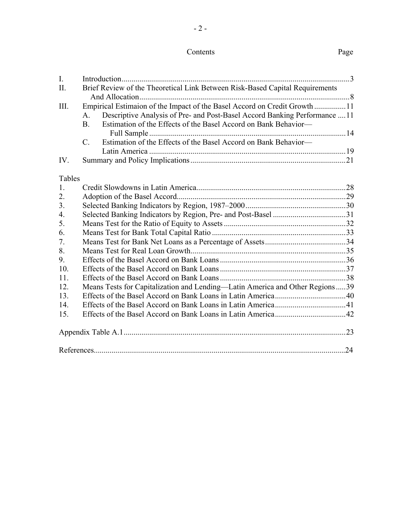## Contents Page

- 2 -

| I.     |                |                                                                              |  |
|--------|----------------|------------------------------------------------------------------------------|--|
| Π.     |                | Brief Review of the Theoretical Link Between Risk-Based Capital Requirements |  |
| III.   |                | Empirical Estimaion of the Impact of the Basel Accord on Credit Growth 11    |  |
|        | $A_{\cdot}$    | Descriptive Analysis of Pre- and Post-Basel Accord Banking Performance  11   |  |
|        | $\mathbf{B}$ . | Estimation of the Effects of the Basel Accord on Bank Behavior—              |  |
|        |                |                                                                              |  |
|        | $C_{\cdot}$    | Estimation of the Effects of the Basel Accord on Bank Behavior—              |  |
|        |                |                                                                              |  |
| IV.    |                |                                                                              |  |
| Tables |                |                                                                              |  |
| 1.     |                |                                                                              |  |
| 2.     |                |                                                                              |  |
| 3.     |                |                                                                              |  |
| 4.     |                |                                                                              |  |
| 5.     |                |                                                                              |  |
| 6.     |                |                                                                              |  |
| 7.     |                |                                                                              |  |
| 8.     |                |                                                                              |  |
| 9.     |                |                                                                              |  |
| 10.    |                |                                                                              |  |
| 11.    |                |                                                                              |  |
| 12.    |                | Means Tests for Capitalization and Lending-Latin America and Other Regions39 |  |
| 13.    |                |                                                                              |  |
| 14.    |                |                                                                              |  |
| 15.    |                |                                                                              |  |
|        |                |                                                                              |  |
|        |                |                                                                              |  |
|        |                |                                                                              |  |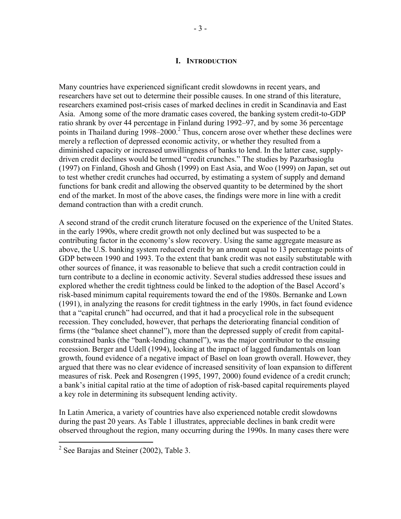#### **I. INTRODUCTION**

Many countries have experienced significant credit slowdowns in recent years, and researchers have set out to determine their possible causes. In one strand of this literature, researchers examined post-crisis cases of marked declines in credit in Scandinavia and East Asia. Among some of the more dramatic cases covered, the banking system credit-to-GDP ratio shrank by over 44 percentage in Finland during 1992–97, and by some 36 percentage points in Thailand during 1998–2000.<sup>2</sup> Thus, concern arose over whether these declines were merely a reflection of depressed economic activity, or whether they resulted from a diminished capacity or increased unwillingness of banks to lend. In the latter case, supplydriven credit declines would be termed "credit crunches." The studies by Pazarbasioglu (1997) on Finland, Ghosh and Ghosh (1999) on East Asia, and Woo (1999) on Japan, set out to test whether credit crunches had occurred, by estimating a system of supply and demand functions for bank credit and allowing the observed quantity to be determined by the short end of the market. In most of the above cases, the findings were more in line with a credit demand contraction than with a credit crunch.

A second strand of the credit crunch literature focused on the experience of the United States. in the early 1990s, where credit growth not only declined but was suspected to be a contributing factor in the economy's slow recovery. Using the same aggregate measure as above, the U.S. banking system reduced credit by an amount equal to 13 percentage points of GDP between 1990 and 1993. To the extent that bank credit was not easily substitutable with other sources of finance, it was reasonable to believe that such a credit contraction could in turn contribute to a decline in economic activity. Several studies addressed these issues and explored whether the credit tightness could be linked to the adoption of the Basel Accord's risk-based minimum capital requirements toward the end of the 1980s. Bernanke and Lown (1991), in analyzing the reasons for credit tightness in the early 1990s, in fact found evidence that a "capital crunch" had occurred, and that it had a procyclical role in the subsequent recession. They concluded, however, that perhaps the deteriorating financial condition of firms (the "balance sheet channel"), more than the depressed supply of credit from capitalconstrained banks (the "bank-lending channel"), was the major contributor to the ensuing recession. Berger and Udell (1994), looking at the impact of lagged fundamentals on loan growth, found evidence of a negative impact of Basel on loan growth overall. However, they argued that there was no clear evidence of increased sensitivity of loan expansion to different measures of risk. Peek and Rosengren (1995, 1997, 2000) found evidence of a credit crunch; a bank's initial capital ratio at the time of adoption of risk-based capital requirements played a key role in determining its subsequent lending activity.

In Latin America, a variety of countries have also experienced notable credit slowdowns during the past 20 years. As Table 1 illustrates, appreciable declines in bank credit were observed throughout the region, many occurring during the 1990s. In many cases there were

<sup>&</sup>lt;sup>2</sup> See Barajas and Steiner (2002), Table 3.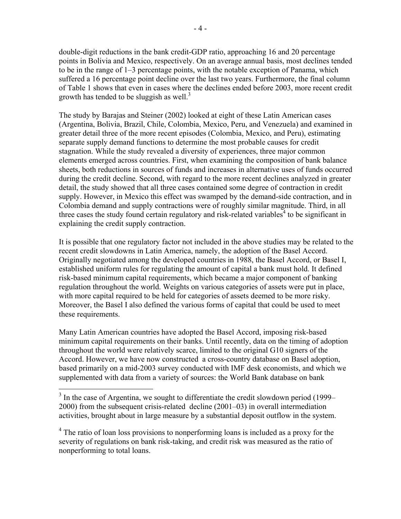double-digit reductions in the bank credit-GDP ratio, approaching 16 and 20 percentage points in Bolivia and Mexico, respectively. On an average annual basis, most declines tended to be in the range of 1–3 percentage points, with the notable exception of Panama, which suffered a 16 percentage point decline over the last two years. Furthermore, the final column of Table 1 shows that even in cases where the declines ended before 2003, more recent credit growth has tended to be sluggish as well.<sup>3</sup>

The study by Barajas and Steiner (2002) looked at eight of these Latin American cases (Argentina, Bolivia, Brazil, Chile, Colombia, Mexico, Peru, and Venezuela) and examined in greater detail three of the more recent episodes (Colombia, Mexico, and Peru), estimating separate supply demand functions to determine the most probable causes for credit stagnation. While the study revealed a diversity of experiences, three major common elements emerged across countries. First, when examining the composition of bank balance sheets, both reductions in sources of funds and increases in alternative uses of funds occurred during the credit decline. Second, with regard to the more recent declines analyzed in greater detail, the study showed that all three cases contained some degree of contraction in credit supply. However, in Mexico this effect was swamped by the demand-side contraction, and in Colombia demand and supply contractions were of roughly similar magnitude. Third, in all three cases the study found certain regulatory and risk-related variables<sup>4</sup> to be significant in explaining the credit supply contraction.

It is possible that one regulatory factor not included in the above studies may be related to the recent credit slowdowns in Latin America, namely, the adoption of the Basel Accord. Originally negotiated among the developed countries in 1988, the Basel Accord, or Basel I, established uniform rules for regulating the amount of capital a bank must hold. It defined risk-based minimum capital requirements, which became a major component of banking regulation throughout the world. Weights on various categories of assets were put in place, with more capital required to be held for categories of assets deemed to be more risky. Moreover, the Basel I also defined the various forms of capital that could be used to meet these requirements.

Many Latin American countries have adopted the Basel Accord, imposing risk-based minimum capital requirements on their banks. Until recently, data on the timing of adoption throughout the world were relatively scarce, limited to the original G10 signers of the Accord. However, we have now constructed a cross-country database on Basel adoption, based primarily on a mid-2003 survey conducted with IMF desk economists, and which we supplemented with data from a variety of sources: the World Bank database on bank

1

 $3$  In the case of Argentina, we sought to differentiate the credit slowdown period (1999– 2000) from the subsequent crisis-related decline (2001–03) in overall intermediation activities, brought about in large measure by a substantial deposit outflow in the system.

<sup>&</sup>lt;sup>4</sup> The ratio of loan loss provisions to nonperforming loans is included as a proxy for the severity of regulations on bank risk-taking, and credit risk was measured as the ratio of nonperforming to total loans.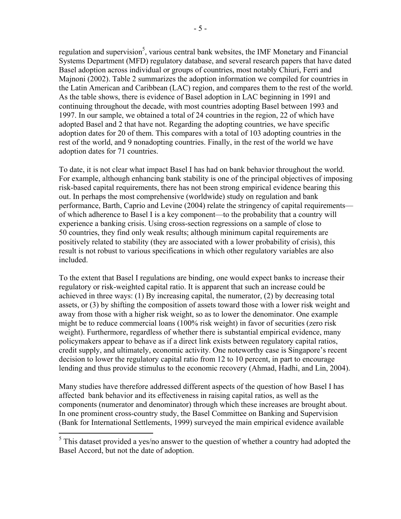regulation and supervision<sup>5</sup>, various central bank websites, the IMF Monetary and Financial Systems Department (MFD) regulatory database, and several research papers that have dated Basel adoption across individual or groups of countries, most notably Chiuri, Ferri and Majnoni (2002). Table 2 summarizes the adoption information we compiled for countries in the Latin American and Caribbean (LAC) region, and compares them to the rest of the world. As the table shows, there is evidence of Basel adoption in LAC beginning in 1991 and continuing throughout the decade, with most countries adopting Basel between 1993 and 1997. In our sample, we obtained a total of 24 countries in the region, 22 of which have adopted Basel and 2 that have not. Regarding the adopting countries, we have specific adoption dates for 20 of them. This compares with a total of 103 adopting countries in the rest of the world, and 9 nonadopting countries. Finally, in the rest of the world we have adoption dates for 71 countries.

To date, it is not clear what impact Basel I has had on bank behavior throughout the world. For example, although enhancing bank stability is one of the principal objectives of imposing risk-based capital requirements, there has not been strong empirical evidence bearing this out. In perhaps the most comprehensive (worldwide) study on regulation and bank performance, Barth, Caprio and Levine (2004) relate the stringency of capital requirements of which adherence to Basel I is a key component—to the probability that a country will experience a banking crisis. Using cross-section regressions on a sample of close to 50 countries, they find only weak results; although minimum capital requirements are positively related to stability (they are associated with a lower probability of crisis), this result is not robust to various specifications in which other regulatory variables are also included.

To the extent that Basel I regulations are binding, one would expect banks to increase their regulatory or risk-weighted capital ratio. It is apparent that such an increase could be achieved in three ways: (1) By increasing capital, the numerator, (2) by decreasing total assets, or (3) by shifting the composition of assets toward those with a lower risk weight and away from those with a higher risk weight, so as to lower the denominator. One example might be to reduce commercial loans (100% risk weight) in favor of securities (zero risk weight). Furthermore, regardless of whether there is substantial empirical evidence, many policymakers appear to behave as if a direct link exists between regulatory capital ratios, credit supply, and ultimately, economic activity. One noteworthy case is Singapore's recent decision to lower the regulatory capital ratio from 12 to 10 percent, in part to encourage lending and thus provide stimulus to the economic recovery (Ahmad, Hadhi, and Lin, 2004).

Many studies have therefore addressed different aspects of the question of how Basel I has affected bank behavior and its effectiveness in raising capital ratios, as well as the components (numerator and denominator) through which these increases are brought about. In one prominent cross-country study, the Basel Committee on Banking and Supervision (Bank for International Settlements, 1999) surveyed the main empirical evidence available

 $\overline{a}$ 

 $<sup>5</sup>$  This dataset provided a yes/no answer to the question of whether a country had adopted the</sup> Basel Accord, but not the date of adoption.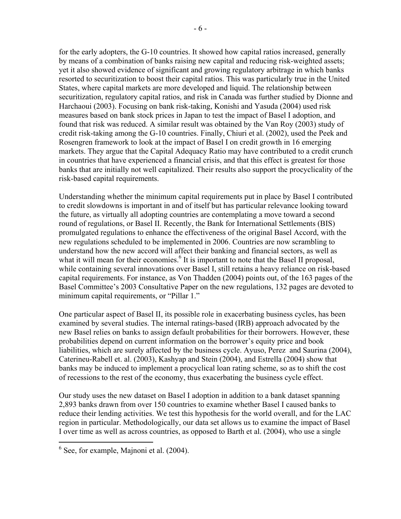for the early adopters, the G-10 countries. It showed how capital ratios increased, generally by means of a combination of banks raising new capital and reducing risk-weighted assets; yet it also showed evidence of significant and growing regulatory arbitrage in which banks resorted to securitization to boost their capital ratios. This was particularly true in the United States, where capital markets are more developed and liquid. The relationship between securitization, regulatory capital ratios, and risk in Canada was further studied by Dionne and Harchaoui (2003). Focusing on bank risk-taking, Konishi and Yasuda (2004) used risk measures based on bank stock prices in Japan to test the impact of Basel I adoption, and found that risk was reduced. A similar result was obtained by the Van Roy (2003) study of credit risk-taking among the G-10 countries. Finally, Chiuri et al. (2002), used the Peek and Rosengren framework to look at the impact of Basel I on credit growth in 16 emerging markets. They argue that the Capital Adequacy Ratio may have contributed to a credit crunch in countries that have experienced a financial crisis, and that this effect is greatest for those banks that are initially not well capitalized. Their results also support the procyclicality of the risk-based capital requirements.

Understanding whether the minimum capital requirements put in place by Basel I contributed to credit slowdowns is important in and of itself but has particular relevance looking toward the future, as virtually all adopting countries are contemplating a move toward a second round of regulations, or Basel II. Recently, the Bank for International Settlements (BIS) promulgated regulations to enhance the effectiveness of the original Basel Accord, with the new regulations scheduled to be implemented in 2006. Countries are now scrambling to understand how the new accord will affect their banking and financial sectors, as well as what it will mean for their economies.<sup>6</sup> It is important to note that the Basel II proposal, while containing several innovations over Basel I, still retains a heavy reliance on risk-based capital requirements. For instance, as Von Thadden (2004) points out, of the 163 pages of the Basel Committee's 2003 Consultative Paper on the new regulations, 132 pages are devoted to minimum capital requirements, or "Pillar 1."

One particular aspect of Basel II, its possible role in exacerbating business cycles, has been examined by several studies. The internal ratings-based (IRB) approach advocated by the new Basel relies on banks to assign default probabilities for their borrowers. However, these probabilities depend on current information on the borrower's equity price and book liabilities, which are surely affected by the business cycle. Ayuso, Perez and Saurina (2004), Caterineu-Rabell et. al. (2003), Kashyap and Stein (2004), and Estrella (2004) show that banks may be induced to implement a procyclical loan rating scheme, so as to shift the cost of recessions to the rest of the economy, thus exacerbating the business cycle effect.

Our study uses the new dataset on Basel I adoption in addition to a bank dataset spanning 2,893 banks drawn from over 150 countries to examine whether Basel I caused banks to reduce their lending activities. We test this hypothesis for the world overall, and for the LAC region in particular. Methodologically, our data set allows us to examine the impact of Basel I over time as well as across countries, as opposed to Barth et al. (2004), who use a single

 $\overline{a}$ 

 $6$  See, for example, Majnoni et al. (2004).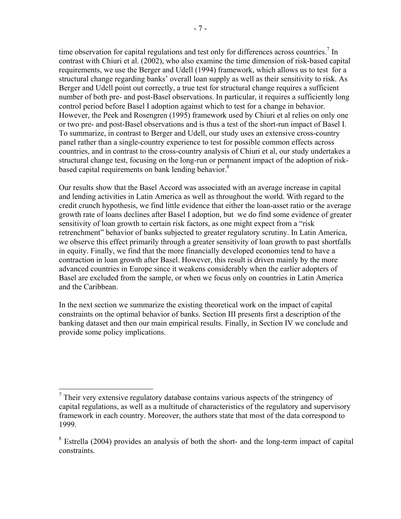time observation for capital regulations and test only for differences across countries.<sup>7</sup> In contrast with Chiuri et al. (2002), who also examine the time dimension of risk-based capital requirements, we use the Berger and Udell (1994) framework, which allows us to test for a structural change regarding banks' overall loan supply as well as their sensitivity to risk. As Berger and Udell point out correctly, a true test for structural change requires a sufficient number of both pre- and post-Basel observations. In particular, it requires a sufficiently long control period before Basel I adoption against which to test for a change in behavior. However, the Peek and Rosengren (1995) framework used by Chiuri et al relies on only one or two pre- and post-Basel observations and is thus a test of the short-run impact of Basel I. To summarize, in contrast to Berger and Udell, our study uses an extensive cross-country panel rather than a single-country experience to test for possible common effects across countries, and in contrast to the cross-country analysis of Chiuri et al, our study undertakes a structural change test, focusing on the long-run or permanent impact of the adoption of riskbased capital requirements on bank lending behavior.<sup>8</sup>

Our results show that the Basel Accord was associated with an average increase in capital and lending activities in Latin America as well as throughout the world. With regard to the credit crunch hypothesis, we find little evidence that either the loan-asset ratio or the average growth rate of loans declines after Basel I adoption, but we do find some evidence of greater sensitivity of loan growth to certain risk factors, as one might expect from a "risk retrenchment" behavior of banks subjected to greater regulatory scrutiny. In Latin America, we observe this effect primarily through a greater sensitivity of loan growth to past shortfalls in equity. Finally, we find that the more financially developed economies tend to have a contraction in loan growth after Basel. However, this result is driven mainly by the more advanced countries in Europe since it weakens considerably when the earlier adopters of Basel are excluded from the sample, or when we focus only on countries in Latin America and the Caribbean.

In the next section we summarize the existing theoretical work on the impact of capital constraints on the optimal behavior of banks. Section III presents first a description of the banking dataset and then our main empirical results. Finally, in Section IV we conclude and provide some policy implications.

 $\overline{a}$  $<sup>7</sup>$  Their very extensive regulatory database contains various aspects of the stringency of</sup> capital regulations, as well as a multitude of characteristics of the regulatory and supervisory framework in each country. Moreover, the authors state that most of the data correspond to 1999.

 $8$  Estrella (2004) provides an analysis of both the short- and the long-term impact of capital constraints.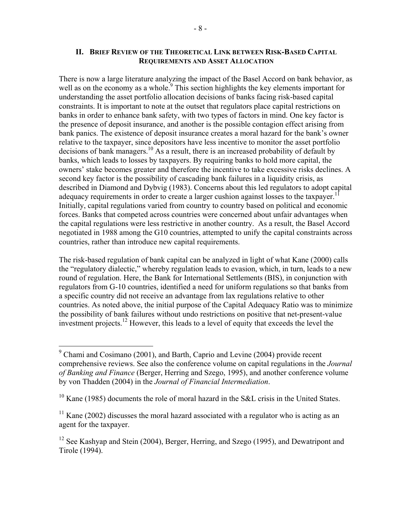There is now a large literature analyzing the impact of the Basel Accord on bank behavior, as well as on the economy as a whole.<sup>9</sup> This section highlights the key elements important for understanding the asset portfolio allocation decisions of banks facing risk-based capital constraints. It is important to note at the outset that regulators place capital restrictions on banks in order to enhance bank safety, with two types of factors in mind. One key factor is the presence of deposit insurance, and another is the possible contagion effect arising from bank panics. The existence of deposit insurance creates a moral hazard for the bank's owner relative to the taxpayer, since depositors have less incentive to monitor the asset portfolio decisions of bank managers.<sup>10</sup> As a result, there is an increased probability of default by banks, which leads to losses by taxpayers. By requiring banks to hold more capital, the owners' stake becomes greater and therefore the incentive to take excessive risks declines. A second key factor is the possibility of cascading bank failures in a liquidity crisis, as described in Diamond and Dybvig (1983). Concerns about this led regulators to adopt capital adequacy requirements in order to create a larger cushion against losses to the taxpayer.<sup>1</sup> Initially, capital regulations varied from country to country based on political and economic forces. Banks that competed across countries were concerned about unfair advantages when the capital regulations were less restrictive in another country. As a result, the Basel Accord negotiated in 1988 among the G10 countries, attempted to unify the capital constraints across countries, rather than introduce new capital requirements.

The risk-based regulation of bank capital can be analyzed in light of what Kane (2000) calls the "regulatory dialectic," whereby regulation leads to evasion, which, in turn, leads to a new round of regulation. Here, the Bank for International Settlements (BIS), in conjunction with regulators from G-10 countries, identified a need for uniform regulations so that banks from a specific country did not receive an advantage from lax regulations relative to other countries. As noted above, the initial purpose of the Capital Adequacy Ratio was to minimize the possibility of bank failures without undo restrictions on positive that net-present-value investment projects.<sup>12</sup> However, this leads to a level of equity that exceeds the level the

 $\overline{a}$ 

<sup>&</sup>lt;sup>9</sup> Chami and Cosimano (2001), and Barth, Caprio and Levine (2004) provide recent comprehensive reviews. See also the conference volume on capital regulations in the *Journal of Banking and Finance* (Berger, Herring and Szego, 1995), and another conference volume by von Thadden (2004) in the *Journal of Financial Intermediation*.

 $10$  Kane (1985) documents the role of moral hazard in the S&L crisis in the United States.

 $11$  Kane (2002) discusses the moral hazard associated with a regulator who is acting as an agent for the taxpayer.

 $12$  See Kashyap and Stein (2004), Berger, Herring, and Szego (1995), and Dewatripont and Tirole (1994).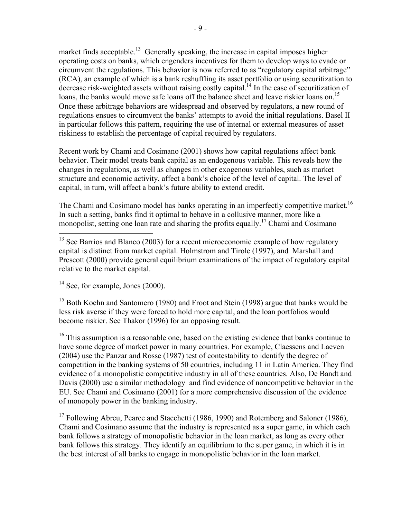market finds acceptable.<sup>13</sup> Generally speaking, the increase in capital imposes higher operating costs on banks, which engenders incentives for them to develop ways to evade or circumvent the regulations. This behavior is now referred to as "regulatory capital arbitrage" (RCA), an example of which is a bank reshuffling its asset portfolio or using securitization to decrease risk-weighted assets without raising costly capital.<sup>14</sup> In the case of securitization of loans, the banks would move safe loans off the balance sheet and leave riskier loans on.<sup>15</sup> Once these arbitrage behaviors are widespread and observed by regulators, a new round of regulations ensues to circumvent the banks' attempts to avoid the initial regulations. Basel II in particular follows this pattern, requiring the use of internal or external measures of asset riskiness to establish the percentage of capital required by regulators.

Recent work by Chami and Cosimano (2001) shows how capital regulations affect bank behavior. Their model treats bank capital as an endogenous variable. This reveals how the changes in regulations, as well as changes in other exogenous variables, such as market structure and economic activity, affect a bank's choice of the level of capital. The level of capital, in turn, will affect a bank's future ability to extend credit.

The Chami and Cosimano model has banks operating in an imperfectly competitive market.<sup>16</sup> In such a setting, banks find it optimal to behave in a collusive manner, more like a monopolist, setting one loan rate and sharing the profits equally.<sup>17</sup> Chami and Cosimano

 $14$  See, for example, Jones (2000).

1

<sup>15</sup> Both Koehn and Santomero (1980) and Froot and Stein (1998) argue that banks would be less risk averse if they were forced to hold more capital, and the loan portfolios would become riskier. See Thakor (1996) for an opposing result.

<sup>16</sup> This assumption is a reasonable one, based on the existing evidence that banks continue to have some degree of market power in many countries. For example, Claessens and Laeven (2004) use the Panzar and Rosse (1987) test of contestability to identify the degree of competition in the banking systems of 50 countries, including 11 in Latin America. They find evidence of a monopolistic competitive industry in all of these countries. Also, De Bandt and Davis (2000) use a similar methodology and find evidence of noncompetitive behavior in the EU. See Chami and Cosimano (2001) for a more comprehensive discussion of the evidence of monopoly power in the banking industry.

 $17$  Following Abreu, Pearce and Stacchetti (1986, 1990) and Rotemberg and Saloner (1986), Chami and Cosimano assume that the industry is represented as a super game, in which each bank follows a strategy of monopolistic behavior in the loan market, as long as every other bank follows this strategy. They identify an equilibrium to the super game, in which it is in the best interest of all banks to engage in monopolistic behavior in the loan market.

 $13$  See Barrios and Blanco (2003) for a recent microeconomic example of how regulatory capital is distinct from market capital. Holmstrom and Tirole (1997), and Marshall and Prescott (2000) provide general equilibrium examinations of the impact of regulatory capital relative to the market capital.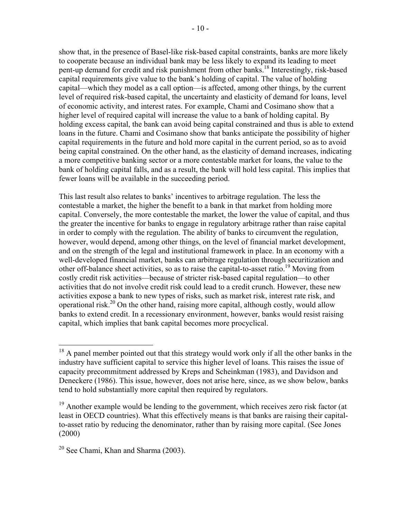show that, in the presence of Basel-like risk-based capital constraints, banks are more likely to cooperate because an individual bank may be less likely to expand its leading to meet pent-up demand for credit and risk punishment from other banks.<sup>18</sup> Interestingly, risk-based capital requirements give value to the bank's holding of capital. The value of holding capital—which they model as a call option—is affected, among other things, by the current level of required risk-based capital, the uncertainty and elasticity of demand for loans, level of economic activity, and interest rates. For example, Chami and Cosimano show that a higher level of required capital will increase the value to a bank of holding capital. By holding excess capital, the bank can avoid being capital constrained and thus is able to extend loans in the future. Chami and Cosimano show that banks anticipate the possibility of higher capital requirements in the future and hold more capital in the current period, so as to avoid being capital constrained. On the other hand, as the elasticity of demand increases, indicating a more competitive banking sector or a more contestable market for loans, the value to the bank of holding capital falls, and as a result, the bank will hold less capital. This implies that fewer loans will be available in the succeeding period.

This last result also relates to banks' incentives to arbitrage regulation. The less the contestable a market, the higher the benefit to a bank in that market from holding more capital. Conversely, the more contestable the market, the lower the value of capital, and thus the greater the incentive for banks to engage in regulatory arbitrage rather than raise capital in order to comply with the regulation. The ability of banks to circumvent the regulation, however, would depend, among other things, on the level of financial market development, and on the strength of the legal and institutional framework in place. In an economy with a well-developed financial market, banks can arbitrage regulation through securitization and other off-balance sheet activities, so as to raise the capital-to-asset ratio.19 Moving from costly credit risk activities—because of stricter risk-based capital regulation—to other activities that do not involve credit risk could lead to a credit crunch. However, these new activities expose a bank to new types of risks, such as market risk, interest rate risk, and operational risk.<sup>20</sup> On the other hand, raising more capital, although costly, would allow banks to extend credit. In a recessionary environment, however, banks would resist raising capital, which implies that bank capital becomes more procyclical.

<u>.</u>

 $18$  A panel member pointed out that this strategy would work only if all the other banks in the industry have sufficient capital to service this higher level of loans. This raises the issue of capacity precommitment addressed by Kreps and Scheinkman (1983), and Davidson and Deneckere (1986). This issue, however, does not arise here, since, as we show below, banks tend to hold substantially more capital then required by regulators.

<sup>&</sup>lt;sup>19</sup> Another example would be lending to the government, which receives zero risk factor (at least in OECD countries). What this effectively means is that banks are raising their capitalto-asset ratio by reducing the denominator, rather than by raising more capital. (See Jones (2000)

 $20$  See Chami, Khan and Sharma (2003).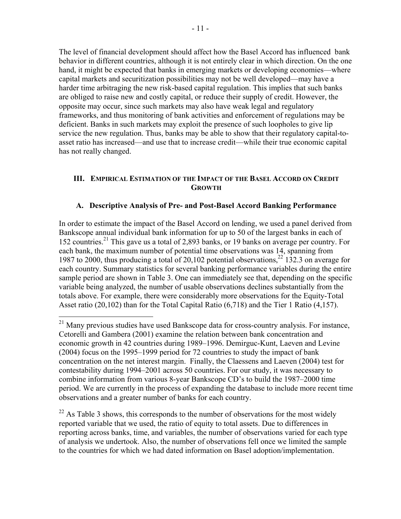The level of financial development should affect how the Basel Accord has influenced bank behavior in different countries, although it is not entirely clear in which direction. On the one hand, it might be expected that banks in emerging markets or developing economies—where capital markets and securitization possibilities may not be well developed—may have a harder time arbitraging the new risk-based capital regulation. This implies that such banks are obliged to raise new and costly capital, or reduce their supply of credit. However, the opposite may occur, since such markets may also have weak legal and regulatory frameworks, and thus monitoring of bank activities and enforcement of regulations may be deficient. Banks in such markets may exploit the presence of such loopholes to give lip service the new regulation. Thus, banks may be able to show that their regulatory capital-toasset ratio has increased—and use that to increase credit—while their true economic capital has not really changed.

#### **III. EMPIRICAL ESTIMATION OF THE IMPACT OF THE BASEL ACCORD ON CREDIT GROWTH**

#### **A. Descriptive Analysis of Pre- and Post-Basel Accord Banking Performance**

In order to estimate the impact of the Basel Accord on lending, we used a panel derived from Bankscope annual individual bank information for up to 50 of the largest banks in each of 152 countries.<sup>21</sup> This gave us a total of 2,893 banks, or 19 banks on average per country. For each bank, the maximum number of potential time observations was 14, spanning from 1987 to 2000, thus producing a total of 20,102 potential observations,  $^{22}$  132.3 on average for each country. Summary statistics for several banking performance variables during the entire sample period are shown in Table 3. One can immediately see that, depending on the specific variable being analyzed, the number of usable observations declines substantially from the totals above. For example, there were considerably more observations for the Equity-Total Asset ratio (20,102) than for the Total Capital Ratio (6,718) and the Tier 1 Ratio (4,157).

1

 $^{22}$  As Table 3 shows, this corresponds to the number of observations for the most widely reported variable that we used, the ratio of equity to total assets. Due to differences in reporting across banks, time, and variables, the number of observations varied for each type of analysis we undertook. Also, the number of observations fell once we limited the sample to the countries for which we had dated information on Basel adoption/implementation.

<sup>&</sup>lt;sup>21</sup> Many previous studies have used Bankscope data for cross-country analysis. For instance, Cetorelli and Gambera (2001) examine the relation between bank concentration and economic growth in 42 countries during 1989–1996. Demirguc-Kunt, Laeven and Levine (2004) focus on the 1995–1999 period for 72 countries to study the impact of bank concentration on the net interest margin. Finally, the Claessens and Laeven (2004) test for contestability during 1994–2001 across 50 countries. For our study, it was necessary to combine information from various 8-year Bankscope CD's to build the 1987–2000 time period. We are currently in the process of expanding the database to include more recent time observations and a greater number of banks for each country.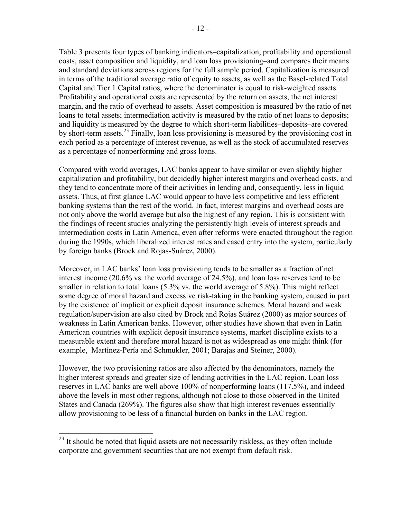Table 3 presents four types of banking indicators–capitalization, profitability and operational costs, asset composition and liquidity, and loan loss provisioning–and compares their means and standard deviations across regions for the full sample period. Capitalization is measured in terms of the traditional average ratio of equity to assets, as well as the Basel-related Total Capital and Tier 1 Capital ratios, where the denominator is equal to risk-weighted assets. Profitability and operational costs are represented by the return on assets, the net interest margin, and the ratio of overhead to assets. Asset composition is measured by the ratio of net loans to total assets; intermediation activity is measured by the ratio of net loans to deposits; and liquidity is measured by the degree to which short-term liabilities–deposits–are covered by short-term assets.23 Finally, loan loss provisioning is measured by the provisioning cost in each period as a percentage of interest revenue, as well as the stock of accumulated reserves as a percentage of nonperforming and gross loans.

Compared with world averages, LAC banks appear to have similar or even slightly higher capitalization and profitability, but decidedly higher interest margins and overhead costs, and they tend to concentrate more of their activities in lending and, consequently, less in liquid assets. Thus, at first glance LAC would appear to have less competitive and less efficient banking systems than the rest of the world. In fact, interest margins and overhead costs are not only above the world average but also the highest of any region. This is consistent with the findings of recent studies analyzing the persistently high levels of interest spreads and intermediation costs in Latin America, even after reforms were enacted throughout the region during the 1990s, which liberalized interest rates and eased entry into the system, particularly by foreign banks (Brock and Rojas-Suárez, 2000).

Moreover, in LAC banks' loan loss provisioning tends to be smaller as a fraction of net interest income (20.6% vs. the world average of 24.5%), and loan loss reserves tend to be smaller in relation to total loans  $(5.3\%$  vs. the world average of 5.8%). This might reflect some degree of moral hazard and excessive risk-taking in the banking system, caused in part by the existence of implicit or explicit deposit insurance schemes. Moral hazard and weak regulation/supervision are also cited by Brock and Rojas Suárez (2000) as major sources of weakness in Latin American banks. However, other studies have shown that even in Latin American countries with explicit deposit insurance systems, market discipline exists to a measurable extent and therefore moral hazard is not as widespread as one might think (for example, Martínez-Pería and Schmukler, 2001; Barajas and Steiner, 2000).

However, the two provisioning ratios are also affected by the denominators, namely the higher interest spreads and greater size of lending activities in the LAC region. Loan loss reserves in LAC banks are well above 100% of nonperforming loans (117.5%), and indeed above the levels in most other regions, although not close to those observed in the United States and Canada (269%). The figures also show that high interest revenues essentially allow provisioning to be less of a financial burden on banks in the LAC region.

1

 $2<sup>23</sup>$  It should be noted that liquid assets are not necessarily riskless, as they often include corporate and government securities that are not exempt from default risk.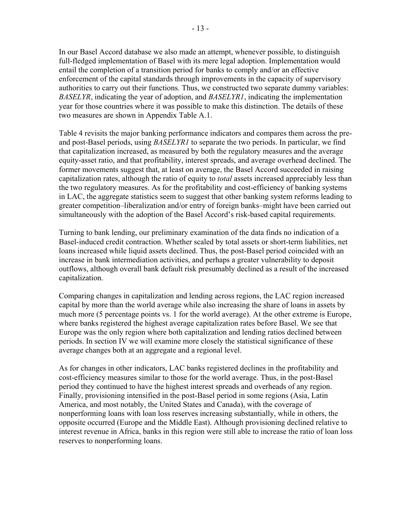In our Basel Accord database we also made an attempt, whenever possible, to distinguish full-fledged implementation of Basel with its mere legal adoption. Implementation would entail the completion of a transition period for banks to comply and/or an effective enforcement of the capital standards through improvements in the capacity of supervisory authorities to carry out their functions. Thus, we constructed two separate dummy variables: *BASELYR*, indicating the year of adoption, and *BASELYR1*, indicating the implementation year for those countries where it was possible to make this distinction. The details of these two measures are shown in Appendix Table A.1.

Table 4 revisits the major banking performance indicators and compares them across the preand post-Basel periods, using *BASELYR1* to separate the two periods. In particular, we find that capitalization increased, as measured by both the regulatory measures and the average equity-asset ratio, and that profitability, interest spreads, and average overhead declined. The former movements suggest that, at least on average, the Basel Accord succeeded in raising capitalization rates, although the ratio of equity to *total* assets increased appreciably less than the two regulatory measures. As for the profitability and cost-efficiency of banking systems in LAC, the aggregate statistics seem to suggest that other banking system reforms leading to greater competition–liberalization and/or entry of foreign banks–might have been carried out simultaneously with the adoption of the Basel Accord's risk-based capital requirements.

Turning to bank lending, our preliminary examination of the data finds no indication of a Basel-induced credit contraction. Whether scaled by total assets or short-term liabilities, net loans increased while liquid assets declined. Thus, the post-Basel period coincided with an increase in bank intermediation activities, and perhaps a greater vulnerability to deposit outflows, although overall bank default risk presumably declined as a result of the increased capitalization.

Comparing changes in capitalization and lending across regions, the LAC region increased capital by more than the world average while also increasing the share of loans in assets by much more (5 percentage points vs. 1 for the world average). At the other extreme is Europe, where banks registered the highest average capitalization rates before Basel. We see that Europe was the only region where both capitalization and lending ratios declined between periods. In section IV we will examine more closely the statistical significance of these average changes both at an aggregate and a regional level.

As for changes in other indicators, LAC banks registered declines in the profitability and cost-efficiency measures similar to those for the world average. Thus, in the post-Basel period they continued to have the highest interest spreads and overheads of any region. Finally, provisioning intensified in the post-Basel period in some regions (Asia, Latin America, and most notably, the United States and Canada), with the coverage of nonperforming loans with loan loss reserves increasing substantially, while in others, the opposite occurred (Europe and the Middle East). Although provisioning declined relative to interest revenue in Africa, banks in this region were still able to increase the ratio of loan loss reserves to nonperforming loans.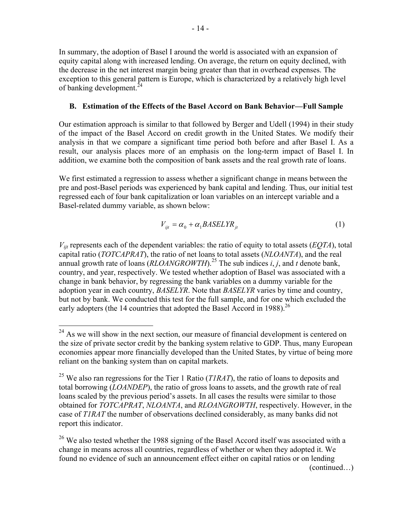In summary, the adoption of Basel I around the world is associated with an expansion of equity capital along with increased lending. On average, the return on equity declined, with the decrease in the net interest margin being greater than that in overhead expenses. The exception to this general pattern is Europe, which is characterized by a relatively high level of banking development. $^{24}$ 

#### **B. Estimation of the Effects of the Basel Accord on Bank Behavior—Full Sample**

Our estimation approach is similar to that followed by Berger and Udell (1994) in their study of the impact of the Basel Accord on credit growth in the United States. We modify their analysis in that we compare a significant time period both before and after Basel I. As a result, our analysis places more of an emphasis on the long-term impact of Basel I. In addition, we examine both the composition of bank assets and the real growth rate of loans.

We first estimated a regression to assess whether a significant change in means between the pre and post-Basel periods was experienced by bank capital and lending. Thus, our initial test regressed each of four bank capitalization or loan variables on an intercept variable and a Basel-related dummy variable, as shown below:

$$
V_{ijt} = \alpha_0 + \alpha_1 BASELYR_{jt} \tag{1}
$$

*Vijt* represents each of the dependent variables: the ratio of equity to total assets (*EQTA*), total capital ratio (*TOTCAPRAT*), the ratio of net loans to total assets (*NLOANTA*), and the real annual growth rate of loans  $(RLOANGROWTH)$ <sup>25</sup>. The sub indices *i*, *j*, and *t* denote bank, country, and year, respectively. We tested whether adoption of Basel was associated with a change in bank behavior, by regressing the bank variables on a dummy variable for the adoption year in each country, *BASELYR*. Note that *BASELYR* varies by time and country, but not by bank. We conducted this test for the full sample, and for one which excluded the early adopters (the 14 countries that adopted the Basel Accord in 1988).<sup>26</sup>

(continued…)

 $\overline{a}$  $24$  As we will show in the next section, our measure of financial development is centered on the size of private sector credit by the banking system relative to GDP. Thus, many European economies appear more financially developed than the United States, by virtue of being more reliant on the banking system than on capital markets.

<sup>25</sup> We also ran regressions for the Tier 1 Ratio (*T1RAT*), the ratio of loans to deposits and total borrowing (*LOANDEP*), the ratio of gross loans to assets, and the growth rate of real loans scaled by the previous period's assets. In all cases the results were similar to those obtained for *TOTCAPRAT*, *NLOANTA*, and *RLOANGROWTH*, respectively. However, in the case of *T1RAT* the number of observations declined considerably, as many banks did not report this indicator.

<sup>&</sup>lt;sup>26</sup> We also tested whether the 1988 signing of the Basel Accord itself was associated with a change in means across all countries, regardless of whether or when they adopted it. We found no evidence of such an announcement effect either on capital ratios or on lending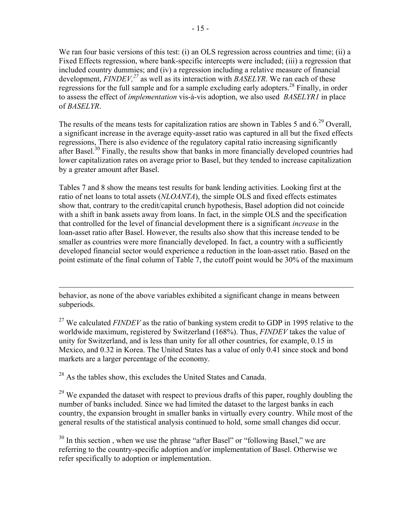We ran four basic versions of this test: (i) an OLS regression across countries and time; (ii) a Fixed Effects regression, where bank-specific intercepts were included; (iii) a regression that included country dummies; and (iv) a regression including a relative measure of financial development, *FINDEV*,<sup>27</sup> as well as its interaction with *BASELYR*. We ran each of these regressions for the full sample and for a sample excluding early adopters.<sup>28</sup> Finally, in order to assess the effect of *implementation* vis-à-vis adoption, we also used *BASELYR1* in place of *BASELYR*.

The results of the means tests for capitalization ratios are shown in Tables 5 and  $6.^{29}$  Overall, a significant increase in the average equity-asset ratio was captured in all but the fixed effects regressions, There is also evidence of the regulatory capital ratio increasing significantly after Basel.<sup>30</sup> Finally, the results show that banks in more financially developed countries had lower capitalization rates on average prior to Basel, but they tended to increase capitalization by a greater amount after Basel.

Tables 7 and 8 show the means test results for bank lending activities. Looking first at the ratio of net loans to total assets (*NLOANTA*), the simple OLS and fixed effects estimates show that, contrary to the credit/capital crunch hypothesis, Basel adoption did not coincide with a shift in bank assets away from loans. In fact, in the simple OLS and the specification that controlled for the level of financial development there is a significant *increase* in the loan-asset ratio after Basel. However, the results also show that this increase tended to be smaller as countries were more financially developed. In fact, a country with a sufficiently developed financial sector would experience a reduction in the loan-asset ratio. Based on the point estimate of the final column of Table 7, the cutoff point would be 30% of the maximum

behavior, as none of the above variables exhibited a significant change in means between subperiods.

<sup>27</sup> We calculated *FINDEV* as the ratio of banking system credit to GDP in 1995 relative to the worldwide maximum, registered by Switzerland (168%). Thus, *FINDEV* takes the value of unity for Switzerland, and is less than unity for all other countries, for example, 0.15 in Mexico, and 0.32 in Korea. The United States has a value of only 0.41 since stock and bond markets are a larger percentage of the economy.

 $^{28}$  As the tables show, this excludes the United States and Canada.

 $\overline{a}$ 

<sup>29</sup> We expanded the dataset with respect to previous drafts of this paper, roughly doubling the number of banks included. Since we had limited the dataset to the largest banks in each country, the expansion brought in smaller banks in virtually every country. While most of the general results of the statistical analysis continued to hold, some small changes did occur.

 $30$  In this section, when we use the phrase "after Basel" or "following Basel," we are referring to the country-specific adoption and/or implementation of Basel. Otherwise we refer specifically to adoption or implementation.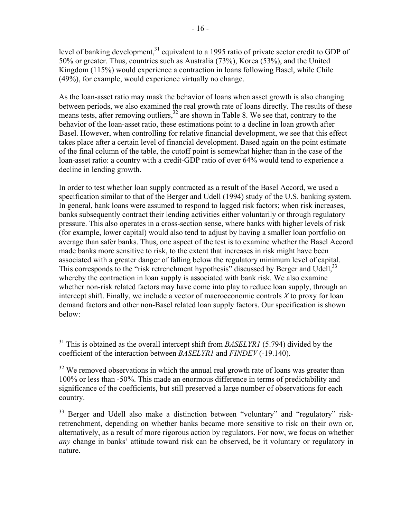level of banking development,<sup>31</sup> equivalent to a 1995 ratio of private sector credit to GDP of 50% or greater. Thus, countries such as Australia (73%), Korea (53%), and the United Kingdom (115%) would experience a contraction in loans following Basel, while Chile (49%), for example, would experience virtually no change.

As the loan-asset ratio may mask the behavior of loans when asset growth is also changing between periods, we also examined the real growth rate of loans directly. The results of these means tests, after removing outliers,  $32$  are shown in Table 8. We see that, contrary to the behavior of the loan-asset ratio, these estimations point to a decline in loan growth after Basel. However, when controlling for relative financial development, we see that this effect takes place after a certain level of financial development. Based again on the point estimate of the final column of the table, the cutoff point is somewhat higher than in the case of the loan-asset ratio: a country with a credit-GDP ratio of over 64% would tend to experience a decline in lending growth.

In order to test whether loan supply contracted as a result of the Basel Accord, we used a specification similar to that of the Berger and Udell (1994) study of the U.S. banking system. In general, bank loans were assumed to respond to lagged risk factors; when risk increases, banks subsequently contract their lending activities either voluntarily or through regulatory pressure. This also operates in a cross-section sense, where banks with higher levels of risk (for example, lower capital) would also tend to adjust by having a smaller loan portfolio on average than safer banks. Thus, one aspect of the test is to examine whether the Basel Accord made banks more sensitive to risk, to the extent that increases in risk might have been associated with a greater danger of falling below the regulatory minimum level of capital. This corresponds to the "risk retrenchment hypothesis" discussed by Berger and Udell, <sup>33</sup> whereby the contraction in loan supply is associated with bank risk. We also examine whether non-risk related factors may have come into play to reduce loan supply, through an intercept shift. Finally, we include a vector of macroeconomic controls *X* to proxy for loan demand factors and other non-Basel related loan supply factors. Our specification is shown below:

1

<sup>31</sup> This is obtained as the overall intercept shift from *BASELYR1* (5.794) divided by the coefficient of the interaction between *BASELYR1* and *FINDEV* (-19.140).

<sup>&</sup>lt;sup>32</sup> We removed observations in which the annual real growth rate of loans was greater than 100% or less than -50%. This made an enormous difference in terms of predictability and significance of the coefficients, but still preserved a large number of observations for each country.

 $33$  Berger and Udell also make a distinction between "voluntary" and "regulatory" riskretrenchment, depending on whether banks became more sensitive to risk on their own or, alternatively, as a result of more rigorous action by regulators. For now, we focus on whether *any* change in banks' attitude toward risk can be observed, be it voluntary or regulatory in nature.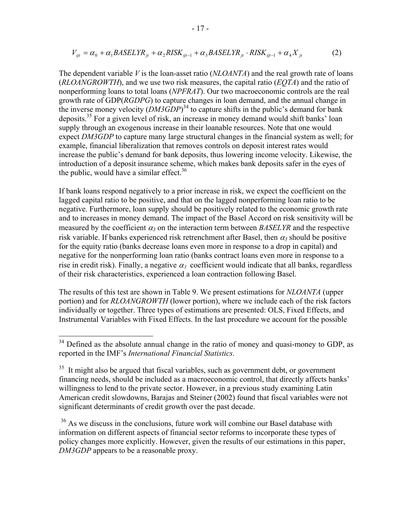$$
V_{ijt} = \alpha_0 + \alpha_1 BASELYR_{jt} + \alpha_2 RISK_{ijt-1} + \alpha_3 BASELYR_{jt} \cdot RISK_{ijt-1} + \alpha_4 X_{jt}
$$
 (2)

The dependent variable *V* is the loan-asset ratio (*NLOANTA*) and the real growth rate of loans (*RLOANGROWTH*), and we use two risk measures, the capital ratio (*EQTA*) and the ratio of nonperforming loans to total loans (*NPFRAT*). Our two macroeconomic controls are the real growth rate of GDP(*RGDPG*) to capture changes in loan demand, and the annual change in the inverse money velocity  $(DM3GDP)^{34}$  to capture shifts in the public's demand for bank deposits.35 For a given level of risk, an increase in money demand would shift banks' loan supply through an exogenous increase in their loanable resources. Note that one would expect *DM3GDP* to capture many large structural changes in the financial system as well; for example, financial liberalization that removes controls on deposit interest rates would increase the public's demand for bank deposits, thus lowering income velocity. Likewise, the introduction of a deposit insurance scheme, which makes bank deposits safer in the eyes of the public, would have a similar effect.<sup>36</sup>

If bank loans respond negatively to a prior increase in risk, we expect the coefficient on the lagged capital ratio to be positive, and that on the lagged nonperforming loan ratio to be negative. Furthermore, loan supply should be positively related to the economic growth rate and to increases in money demand. The impact of the Basel Accord on risk sensitivity will be measured by the coefficient  $\alpha_3$  on the interaction term between *BASELYR* and the respective risk variable. If banks experienced risk retrenchment after Basel, then  $\alpha_3$  should be positive for the equity ratio (banks decrease loans even more in response to a drop in capital) and negative for the nonperforming loan ratio (banks contract loans even more in response to a rise in credit risk). Finally, a negative  $\alpha_1$  coefficient would indicate that all banks, regardless of their risk characteristics, experienced a loan contraction following Basel.

The results of this test are shown in Table 9. We present estimations for *NLOANTA* (upper portion) and for *RLOANGROWTH* (lower portion), where we include each of the risk factors individually or together. Three types of estimations are presented: OLS, Fixed Effects, and Instrumental Variables with Fixed Effects. In the last procedure we account for the possible

 $\overline{a}$ 

 $34$  Defined as the absolute annual change in the ratio of money and quasi-money to GDP, as reported in the IMF's *International Financial Statistics*.

 $35$  It might also be argued that fiscal variables, such as government debt, or government financing needs, should be included as a macroeconomic control, that directly affects banks' willingness to lend to the private sector. However, in a previous study examining Latin American credit slowdowns, Barajas and Steiner (2002) found that fiscal variables were not significant determinants of credit growth over the past decade.

<sup>&</sup>lt;sup>36</sup> As we discuss in the conclusions, future work will combine our Basel database with information on different aspects of financial sector reforms to incorporate these types of policy changes more explicitly. However, given the results of our estimations in this paper, *DM3GDP* appears to be a reasonable proxy.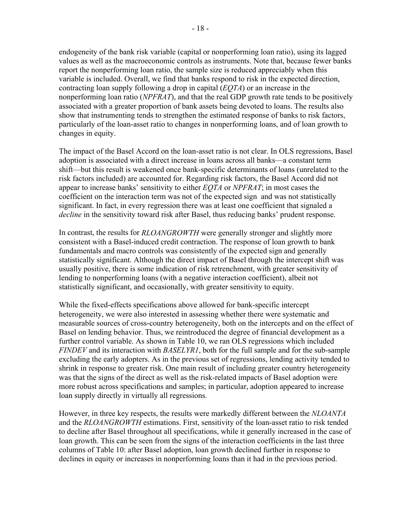endogeneity of the bank risk variable (capital or nonperforming loan ratio), using its lagged values as well as the macroeconomic controls as instruments. Note that, because fewer banks report the nonperforming loan ratio, the sample size is reduced appreciably when this variable is included. Overall, we find that banks respond to risk in the expected direction, contracting loan supply following a drop in capital (*EQTA*) or an increase in the nonperforming loan ratio (*NPFRAT*), and that the real GDP growth rate tends to be positively associated with a greater proportion of bank assets being devoted to loans. The results also show that instrumenting tends to strengthen the estimated response of banks to risk factors, particularly of the loan-asset ratio to changes in nonperforming loans, and of loan growth to changes in equity.

The impact of the Basel Accord on the loan-asset ratio is not clear. In OLS regressions, Basel adoption is associated with a direct increase in loans across all banks—a constant term shift—but this result is weakened once bank-specific determinants of loans (unrelated to the risk factors included) are accounted for. Regarding risk factors, the Basel Accord did not appear to increase banks' sensitivity to either *EQTA* or *NPFRAT*; in most cases the coefficient on the interaction term was not of the expected sign and was not statistically significant. In fact, in every regression there was at least one coefficient that signaled a *decline* in the sensitivity toward risk after Basel, thus reducing banks' prudent response.

In contrast, the results for *RLOANGROWTH* were generally stronger and slightly more consistent with a Basel-induced credit contraction. The response of loan growth to bank fundamentals and macro controls was consistently of the expected sign and generally statistically significant. Although the direct impact of Basel through the intercept shift was usually positive, there is some indication of risk retrenchment, with greater sensitivity of lending to nonperforming loans (with a negative interaction coefficient), albeit not statistically significant, and occasionally, with greater sensitivity to equity.

While the fixed-effects specifications above allowed for bank-specific intercept heterogeneity, we were also interested in assessing whether there were systematic and measurable sources of cross-country heterogeneity, both on the intercepts and on the effect of Basel on lending behavior. Thus, we reintroduced the degree of financial development as a further control variable. As shown in Table 10, we ran OLS regressions which included *FINDEV* and its interaction with *BASELYR1*, both for the full sample and for the sub-sample excluding the early adopters. As in the previous set of regressions, lending activity tended to shrink in response to greater risk. One main result of including greater country heterogeneity was that the signs of the direct as well as the risk-related impacts of Basel adoption were more robust across specifications and samples; in particular, adoption appeared to increase loan supply directly in virtually all regressions.

However, in three key respects, the results were markedly different between the *NLOANTA* and the *RLOANGROWTH* estimations. First, sensitivity of the loan-asset ratio to risk tended to decline after Basel throughout all specifications, while it generally increased in the case of loan growth. This can be seen from the signs of the interaction coefficients in the last three columns of Table 10: after Basel adoption, loan growth declined further in response to declines in equity or increases in nonperforming loans than it had in the previous period.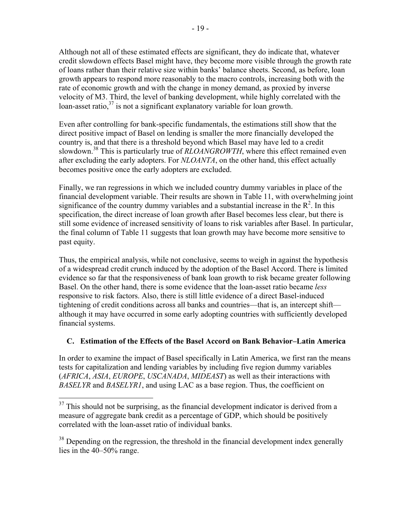Although not all of these estimated effects are significant, they do indicate that, whatever credit slowdown effects Basel might have, they become more visible through the growth rate of loans rather than their relative size within banks' balance sheets. Second, as before, loan growth appears to respond more reasonably to the macro controls, increasing both with the rate of economic growth and with the change in money demand, as proxied by inverse velocity of M3. Third, the level of banking development, while highly correlated with the loan-asset ratio, $37$  is not a significant explanatory variable for loan growth.

Even after controlling for bank-specific fundamentals, the estimations still show that the direct positive impact of Basel on lending is smaller the more financially developed the country is, and that there is a threshold beyond which Basel may have led to a credit slowdown.<sup>38</sup> This is particularly true of *RLOANGROWTH*, where this effect remained even after excluding the early adopters. For *NLOANTA*, on the other hand, this effect actually becomes positive once the early adopters are excluded.

Finally, we ran regressions in which we included country dummy variables in place of the financial development variable. Their results are shown in Table 11, with overwhelming joint significance of the country dummy variables and a substantial increase in the  $R^2$ . In this specification, the direct increase of loan growth after Basel becomes less clear, but there is still some evidence of increased sensitivity of loans to risk variables after Basel. In particular, the final column of Table 11 suggests that loan growth may have become more sensitive to past equity.

Thus, the empirical analysis, while not conclusive, seems to weigh in against the hypothesis of a widespread credit crunch induced by the adoption of the Basel Accord. There is limited evidence so far that the responsiveness of bank loan growth to risk became greater following Basel. On the other hand, there is some evidence that the loan-asset ratio became *less* responsive to risk factors. Also, there is still little evidence of a direct Basel-induced tightening of credit conditions across all banks and countries—that is, an intercept shift although it may have occurred in some early adopting countries with sufficiently developed financial systems.

### **C. Estimation of the Effects of the Basel Accord on Bank Behavior–Latin America**

In order to examine the impact of Basel specifically in Latin America, we first ran the means tests for capitalization and lending variables by including five region dummy variables (*AFRICA*, *ASIA*, *EUROPE*, *USCANADA*, *MIDEAST*) as well as their interactions with *BASELYR* and *BASELYR1*, and using LAC as a base region. Thus, the coefficient on

<u>.</u>

 $37$  This should not be surprising, as the financial development indicator is derived from a measure of aggregate bank credit as a percentage of GDP, which should be positively correlated with the loan-asset ratio of individual banks.

<sup>&</sup>lt;sup>38</sup> Depending on the regression, the threshold in the financial development index generally lies in the 40–50% range.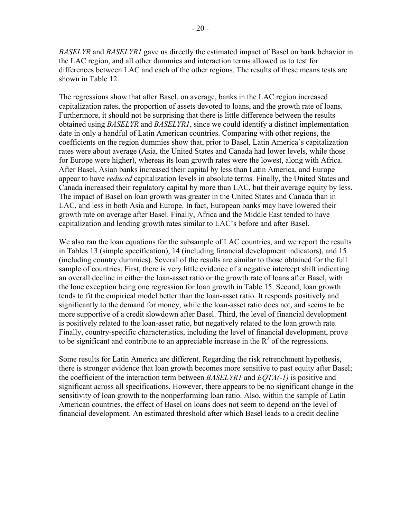*BASELYR* and *BASELYR1* gave us directly the estimated impact of Basel on bank behavior in the LAC region, and all other dummies and interaction terms allowed us to test for differences between LAC and each of the other regions. The results of these means tests are shown in Table 12.

The regressions show that after Basel, on average, banks in the LAC region increased capitalization rates, the proportion of assets devoted to loans, and the growth rate of loans. Furthermore, it should not be surprising that there is little difference between the results obtained using *BASELYR* and *BASELYR1*, since we could identify a distinct implementation date in only a handful of Latin American countries. Comparing with other regions, the coefficients on the region dummies show that, prior to Basel, Latin America's capitalization rates were about average (Asia, the United States and Canada had lower levels, while those for Europe were higher), whereas its loan growth rates were the lowest, along with Africa. After Basel, Asian banks increased their capital by less than Latin America, and Europe appear to have *reduced* capitalization levels in absolute terms. Finally, the United States and Canada increased their regulatory capital by more than LAC, but their average equity by less. The impact of Basel on loan growth was greater in the United States and Canada than in LAC, and less in both Asia and Europe. In fact, European banks may have lowered their growth rate on average after Basel. Finally, Africa and the Middle East tended to have capitalization and lending growth rates similar to LAC's before and after Basel.

We also ran the loan equations for the subsample of LAC countries, and we report the results in Tables 13 (simple specification), 14 (including financial development indicators), and 15 (including country dummies). Several of the results are similar to those obtained for the full sample of countries. First, there is very little evidence of a negative intercept shift indicating an overall decline in either the loan-asset ratio or the growth rate of loans after Basel, with the lone exception being one regression for loan growth in Table 15. Second, loan growth tends to fit the empirical model better than the loan-asset ratio. It responds positively and significantly to the demand for money, while the loan-asset ratio does not, and seems to be more supportive of a credit slowdown after Basel. Third, the level of financial development is positively related to the loan-asset ratio, but negatively related to the loan growth rate. Finally, country-specific characteristics, including the level of financial development, prove to be significant and contribute to an appreciable increase in the  $R^2$  of the regressions.

Some results for Latin America are different. Regarding the risk retrenchment hypothesis, there is stronger evidence that loan growth becomes more sensitive to past equity after Basel; the coefficient of the interaction term between *BASELYR1* and *EQTA(-1)* is positive and significant across all specifications. However, there appears to be no significant change in the sensitivity of loan growth to the nonperforming loan ratio. Also, within the sample of Latin American countries, the effect of Basel on loans does not seem to depend on the level of financial development. An estimated threshold after which Basel leads to a credit decline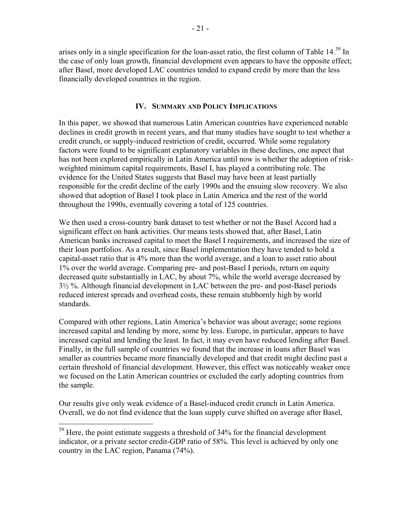arises only in a single specification for the loan-asset ratio, the first column of Table 14.39 In the case of only loan growth, financial development even appears to have the opposite effect; after Basel, more developed LAC countries tended to expand credit by more than the less financially developed countries in the region.

#### **IV. SUMMARY AND POLICY IMPLICATIONS**

In this paper, we showed that numerous Latin American countries have experienced notable declines in credit growth in recent years, and that many studies have sought to test whether a credit crunch, or supply-induced restriction of credit, occurred. While some regulatory factors were found to be significant explanatory variables in these declines, one aspect that has not been explored empirically in Latin America until now is whether the adoption of riskweighted minimum capital requirements, Basel I, has played a contributing role. The evidence for the United States suggests that Basel may have been at least partially responsible for the credit decline of the early 1990s and the ensuing slow recovery. We also showed that adoption of Basel I took place in Latin America and the rest of the world throughout the 1990s, eventually covering a total of 125 countries.

We then used a cross-country bank dataset to test whether or not the Basel Accord had a significant effect on bank activities. Our means tests showed that, after Basel, Latin American banks increased capital to meet the Basel I requirements, and increased the size of their loan portfolios. As a result, since Basel implementation they have tended to hold a capital-asset ratio that is 4% more than the world average, and a loan to asset ratio about 1% over the world average. Comparing pre- and post-Basel I periods, return on equity decreased quite substantially in LAC, by about 7%, while the world average decreased by 3½ %. Although financial development in LAC between the pre- and post-Basel periods reduced interest spreads and overhead costs, these remain stubbornly high by world standards.

Compared with other regions, Latin America's behavior was about average; some regions increased capital and lending by more, some by less. Europe, in particular, appears to have increased capital and lending the least. In fact, it may even have reduced lending after Basel. Finally, in the full sample of countries we found that the increase in loans after Basel was smaller as countries became more financially developed and that credit might decline past a certain threshold of financial development. However, this effect was noticeably weaker once we focused on the Latin American countries or excluded the early adopting countries from the sample.

Our results give only weak evidence of a Basel-induced credit crunch in Latin America. Overall, we do not find evidence that the loan supply curve shifted on average after Basel,

 $\overline{a}$ 

 $39$  Here, the point estimate suggests a threshold of 34% for the financial development indicator, or a private sector credit-GDP ratio of 58%. This level is achieved by only one country in the LAC region, Panama (74%).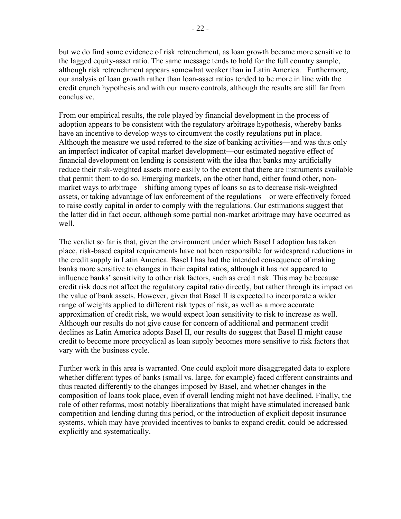but we do find some evidence of risk retrenchment, as loan growth became more sensitive to the lagged equity-asset ratio. The same message tends to hold for the full country sample, although risk retrenchment appears somewhat weaker than in Latin America. Furthermore, our analysis of loan growth rather than loan-asset ratios tended to be more in line with the credit crunch hypothesis and with our macro controls, although the results are still far from conclusive.

From our empirical results, the role played by financial development in the process of adoption appears to be consistent with the regulatory arbitrage hypothesis, whereby banks have an incentive to develop ways to circumvent the costly regulations put in place. Although the measure we used referred to the size of banking activities—and was thus only an imperfect indicator of capital market development—our estimated negative effect of financial development on lending is consistent with the idea that banks may artificially reduce their risk-weighted assets more easily to the extent that there are instruments available that permit them to do so. Emerging markets, on the other hand, either found other, nonmarket ways to arbitrage—shifting among types of loans so as to decrease risk-weighted assets, or taking advantage of lax enforcement of the regulations—or were effectively forced to raise costly capital in order to comply with the regulations. Our estimations suggest that the latter did in fact occur, although some partial non-market arbitrage may have occurred as well.

The verdict so far is that, given the environment under which Basel I adoption has taken place, risk-based capital requirements have not been responsible for widespread reductions in the credit supply in Latin America. Basel I has had the intended consequence of making banks more sensitive to changes in their capital ratios, although it has not appeared to influence banks' sensitivity to other risk factors, such as credit risk. This may be because credit risk does not affect the regulatory capital ratio directly, but rather through its impact on the value of bank assets. However, given that Basel II is expected to incorporate a wider range of weights applied to different risk types of risk, as well as a more accurate approximation of credit risk, we would expect loan sensitivity to risk to increase as well. Although our results do not give cause for concern of additional and permanent credit declines as Latin America adopts Basel II, our results do suggest that Basel II might cause credit to become more procyclical as loan supply becomes more sensitive to risk factors that vary with the business cycle.

Further work in this area is warranted. One could exploit more disaggregated data to explore whether different types of banks (small vs. large, for example) faced different constraints and thus reacted differently to the changes imposed by Basel, and whether changes in the composition of loans took place, even if overall lending might not have declined. Finally, the role of other reforms, most notably liberalizations that might have stimulated increased bank competition and lending during this period, or the introduction of explicit deposit insurance systems, which may have provided incentives to banks to expand credit, could be addressed explicitly and systematically.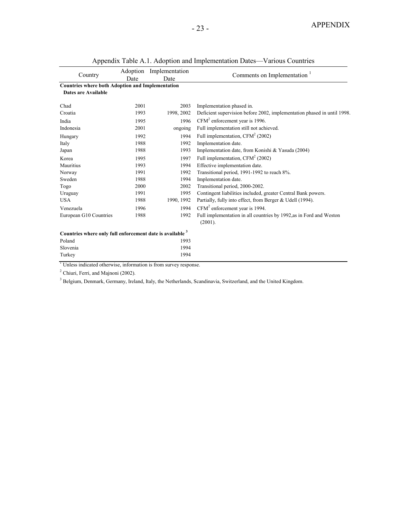|                                                                               |      | Adoption Implementation |                                                                                |
|-------------------------------------------------------------------------------|------|-------------------------|--------------------------------------------------------------------------------|
| Country                                                                       | Date | Date                    | Comments on Implementation                                                     |
| <b>Countries where both Adoption and Implementation</b>                       |      |                         |                                                                                |
| Dates are Available                                                           |      |                         |                                                                                |
| Chad                                                                          | 2001 | 2003                    | Implementation phased in.                                                      |
| Croatia                                                                       | 1993 | 1998, 2002              | Deficient supervision before 2002, implementation phased in until 1998.        |
| India                                                                         | 1995 | 1996                    | $CFM2$ enforcement year is 1996.                                               |
| Indonesia                                                                     | 2001 | ongoing                 | Full implementation still not achieved.                                        |
| Hungary                                                                       | 1992 | 1994                    | Full implementation, $CFM2$ (2002)                                             |
| Italy                                                                         | 1988 | 1992                    | Implementation date.                                                           |
| Japan                                                                         | 1988 | 1993                    | Implementation date, from Konishi & Yasuda (2004)                              |
| Korea                                                                         | 1995 | 1997                    | Full implementation, $CFM2$ (2002)                                             |
| Mauritius                                                                     | 1993 | 1994                    | Effective implementation date.                                                 |
| Norway                                                                        | 1991 | 1992                    | Transitional period, 1991-1992 to reach 8%.                                    |
| Sweden                                                                        | 1988 | 1994                    | Implementation date.                                                           |
| Togo                                                                          | 2000 | 2002                    | Transitional period, 2000-2002.                                                |
| Uruguay                                                                       | 1991 | 1995                    | Contingent liabilities included, greater Central Bank powers.                  |
| <b>USA</b>                                                                    | 1988 | 1990, 1992              | Partially, fully into effect, from Berger & Udell (1994).                      |
| Venezuela                                                                     | 1996 | 1994                    | $CFM2$ enforcement year is 1994.                                               |
| European G10 Countries                                                        | 1988 | 1992                    | Full implementation in all countries by 1992, as in Ford and Weston<br>(2001). |
| Countries where only full enforcement date is available 3                     |      |                         |                                                                                |
| Poland                                                                        |      | 1993                    |                                                                                |
| Slovenia                                                                      |      | 1994                    |                                                                                |
| Turkey                                                                        |      | 1994                    |                                                                                |
| <sup>1</sup> Unless indicated otherwise, information is from survey response. |      |                         |                                                                                |

Appendix Table A.1. Adoption and Implementation Dates—Various Countries

<sup>2</sup> Chiuri, Ferri, and Majnoni (2002).

<sup>3</sup> Belgium, Denmark, Germany, Ireland, Italy, the Netherlands, Scandinavia, Switzerland, and the United Kingdom.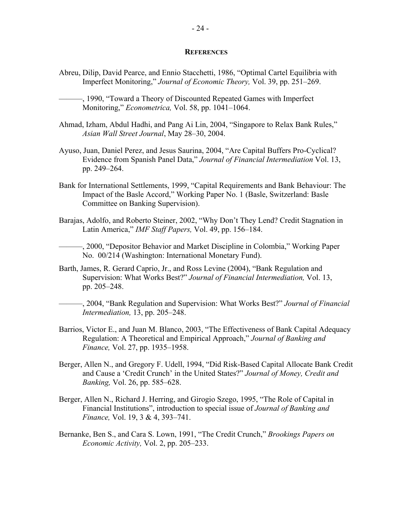#### **REFERENCES**

- Abreu, Dilip, David Pearce, and Ennio Stacchetti, 1986, "Optimal Cartel Equilibria with Imperfect Monitoring," *Journal of Economic Theory,* Vol. 39, pp. 251–269.
	- ———, 1990, "Toward a Theory of Discounted Repeated Games with Imperfect Monitoring," *Econometrica,* Vol. 58, pp. 1041–1064.
- Ahmad, Izham, Abdul Hadhi, and Pang Ai Lin, 2004, "Singapore to Relax Bank Rules," *Asian Wall Street Journal*, May 28–30, 2004.
- Ayuso, Juan, Daniel Perez, and Jesus Saurina, 2004, "Are Capital Buffers Pro-Cyclical? Evidence from Spanish Panel Data," *Journal of Financial Intermediation* Vol. 13, pp. 249–264.
- Bank for International Settlements, 1999, "Capital Requirements and Bank Behaviour: The Impact of the Basle Accord," Working Paper No. 1 (Basle, Switzerland: Basle Committee on Banking Supervision).
- Barajas, Adolfo, and Roberto Steiner, 2002, "Why Don't They Lend? Credit Stagnation in Latin America," *IMF Staff Papers,* Vol. 49, pp. 156–184.

———, 2000, "Depositor Behavior and Market Discipline in Colombia," Working Paper No. 00/214 (Washington: International Monetary Fund).

Barth, James, R. Gerard Caprio, Jr., and Ross Levine (2004), "Bank Regulation and Supervision: What Works Best?" *Journal of Financial Intermediation,* Vol. 13, pp. 205–248.

———, 2004, "Bank Regulation and Supervision: What Works Best?" *Journal of Financial Intermediation,* 13, pp. 205–248.

- Barrios, Victor E., and Juan M. Blanco, 2003, "The Effectiveness of Bank Capital Adequacy Regulation: A Theoretical and Empirical Approach," *Journal of Banking and Finance,* Vol. 27, pp. 1935–1958.
- Berger, Allen N., and Gregory F. Udell, 1994, "Did Risk-Based Capital Allocate Bank Credit and Cause a 'Credit Crunch' in the United States?" *Journal of Money, Credit and Banking,* Vol. 26, pp. 585–628.
- Berger, Allen N., Richard J. Herring, and Girogio Szego, 1995, "The Role of Capital in Financial Institutions", introduction to special issue of *Journal of Banking and Finance,* Vol. 19, 3 & 4, 393–741.
- Bernanke, Ben S., and Cara S. Lown, 1991, "The Credit Crunch," *Brookings Papers on Economic Activity,* Vol. 2, pp. 205–233.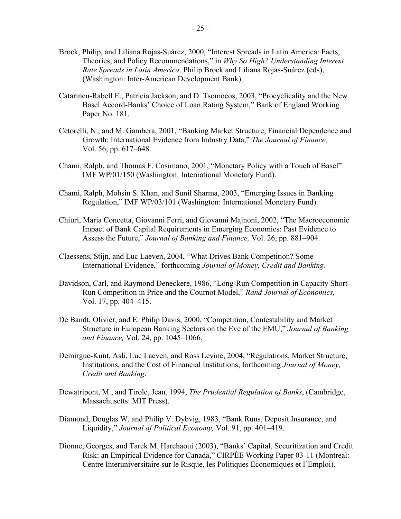- Brock, Philip, and Liliana Rojas-Suárez, 2000, "Interest Spreads in Latin America: Facts, Theories, and Policy Recommendations," in *Why So High? Understanding Interest Rate Spreads in Latin America,* Philip Brock and Liliana Rojas-Suárez (eds), (Washington: Inter-American Development Bank).
- Catarineu-Rabell E., Patricia Jackson, and D. Tsomocos, 2003, "Procyclicality and the New Basel Accord-Banks' Choice of Loan Rating System," Bank of England Working Paper No. 181.
- Cetorelli, N., and M. Gambera, 2001, "Banking Market Structure, Financial Dependence and Growth: International Evidence from Industry Data," *The Journal of Finance,* Vol. 56, pp. 617–648.
- Chami, Ralph, and Thomas F. Cosimano, 2001, "Monetary Policy with a Touch of Basel" IMF WP/01/150 (Washington: International Monetary Fund).
- Chami, Ralph, Mohsin S. Khan, and Sunil Sharma, 2003, "Emerging Issues in Banking Regulation," IMF WP/03/101 (Washington: International Monetary Fund).
- Chiuri, Maria Concetta, Giovanni Ferri, and Giovanni Majnoni, 2002, "The Macroeconomic Impact of Bank Capital Requirements in Emerging Economies: Past Evidence to Assess the Future," *Journal of Banking and Finance,* Vol. 26, pp. 881–904.
- Claessens, Stijn, and Luc Laeven, 2004, "What Drives Bank Competition? Some International Evidence," forthcoming *Journal of Money, Credit and Banking*.
- Davidson, Carl, and Raymond Deneckere, 1986, "Long-Run Competition in Capacity Short-Run Competition in Price and the Cournot Model," *Rand Journal of Economics,* Vol. 17, pp. 404–415.
- De Bandt, Olivier, and E. Philip Davis, 2000, "Competition, Contestability and Market Structure in European Banking Sectors on the Eve of the EMU," *Journal of Banking and Finance,* Vol. 24, pp. 1045–1066.
- Demirguc-Kunt, Asli, Luc Laeven, and Ross Levine, 2004, "Regulations, Market Structure, Institutions, and the Cost of Financial Institutions, forthcoming *Journal of Money, Credit and Banking*.
- Dewatripont, M., and Tirole, Jean, 1994, *The Prudential Regulation of Banks*, (Cambridge, Massachusetts: MIT Press).
- Diamond, Douglas W. and Philip V. Dybvig, 1983, "Bank Runs, Deposit Insurance, and Liquidity," *Journal of Political Economy,* Vol. 91, pp. 401–419.
- Dionne, Georges, and Tarek M. Harchaoui (2003), "Banks' Capital, Securitization and Credit Risk: an Empirical Evidence for Canada," CIRPÉE Working Paper 03-11 (Montreal: Centre Interuniversitaire sur le Risque, les Politiques Économiques et l'Emploi).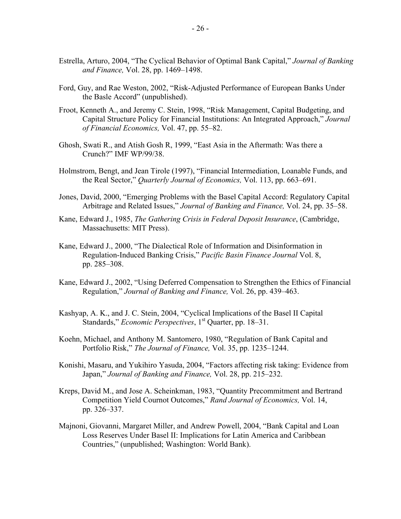- Estrella, Arturo, 2004, "The Cyclical Behavior of Optimal Bank Capital," *Journal of Banking and Finance,* Vol. 28, pp. 1469–1498.
- Ford, Guy, and Rae Weston, 2002, "Risk-Adjusted Performance of European Banks Under the Basle Accord" (unpublished).
- Froot, Kenneth A., and Jeremy C. Stein, 1998, "Risk Management, Capital Budgeting, and Capital Structure Policy for Financial Institutions: An Integrated Approach," *Journal of Financial Economics,* Vol. 47, pp. 55–82.
- Ghosh, Swati R., and Atish Gosh R, 1999, "East Asia in the Aftermath: Was there a Crunch?" IMF WP/99/38.
- Holmstrom, Bengt, and Jean Tirole (1997), "Financial Intermediation, Loanable Funds, and the Real Sector," *Quarterly Journal of Economics,* Vol. 113, pp. 663–691.
- Jones, David, 2000, "Emerging Problems with the Basel Capital Accord: Regulatory Capital Arbitrage and Related Issues," *Journal of Banking and Finance,* Vol. 24, pp. 35–58.
- Kane, Edward J., 1985, *The Gathering Crisis in Federal Deposit Insurance*, (Cambridge, Massachusetts: MIT Press).
- Kane, Edward J., 2000, "The Dialectical Role of Information and Disinformation in Regulation-Induced Banking Crisis," *Pacific Basin Finance Journal* Vol. 8, pp. 285–308.
- Kane, Edward J., 2002, "Using Deferred Compensation to Strengthen the Ethics of Financial Regulation," *Journal of Banking and Finance,* Vol. 26, pp. 439–463.
- Kashyap, A. K., and J. C. Stein, 2004, "Cyclical Implications of the Basel II Capital Standards," *Economic Perspectives*, 1<sup>st</sup> Quarter, pp. 18–31.
- Koehn, Michael, and Anthony M. Santomero, 1980, "Regulation of Bank Capital and Portfolio Risk," *The Journal of Finance,* Vol. 35, pp. 1235–1244.
- Konishi, Masaru, and Yukihiro Yasuda, 2004, "Factors affecting risk taking: Evidence from Japan," *Journal of Banking and Finance,* Vol. 28, pp. 215–232.
- Kreps, David M., and Jose A. Scheinkman, 1983, "Quantity Precommitment and Bertrand Competition Yield Cournot Outcomes," *Rand Journal of Economics,* Vol. 14, pp. 326–337.
- Majnoni, Giovanni, Margaret Miller, and Andrew Powell, 2004, "Bank Capital and Loan Loss Reserves Under Basel II: Implications for Latin America and Caribbean Countries," (unpublished; Washington: World Bank).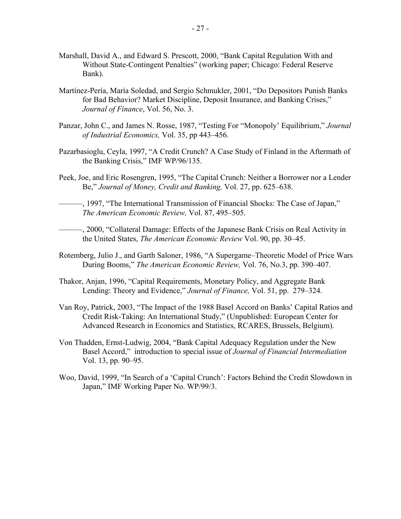- Marshall, David A., and Edward S. Prescott, 2000, "Bank Capital Regulation With and Without State-Contingent Penalties" (working paper; Chicago: Federal Reserve Bank).
- Martínez-Pería, María Soledad, and Sergio Schmukler, 2001, "Do Depositors Punish Banks for Bad Behavior? Market Discipline, Deposit Insurance, and Banking Crises," *Journal of Finance*, Vol. 56, No. 3.
- Panzar, John C., and James N. Rosse, 1987, "Testing For "Monopoly' Equilibrium," *Journal of Industrial Economics,* Vol. 35, pp 443–456.
- Pazarbasioglu, Ceyla, 1997, "A Credit Crunch? A Case Study of Finland in the Aftermath of the Banking Crisis," IMF WP/96/135.
- Peek, Joe, and Eric Rosengren, 1995, "The Capital Crunch: Neither a Borrower nor a Lender Be," *Journal of Money, Credit and Banking,* Vol. 27, pp. 625–638.
- ———, 1997, "The International Transmission of Financial Shocks: The Case of Japan," *The American Economic Review,* Vol. 87, 495–505.
- ———, 2000, "Collateral Damage: Effects of the Japanese Bank Crisis on Real Activity in the United States, *The American Economic Review* Vol. 90, pp. 30–45.
- Rotemberg, Julio J., and Garth Saloner, 1986, "A Supergame–Theoretic Model of Price Wars During Booms," *The American Economic Review,* Vol. 76, No.3, pp. 390–407.
- Thakor, Anjan, 1996, "Capital Requirements, Monetary Policy, and Aggregate Bank Lending: Theory and Evidence," *Journal of Finance,* Vol. 51, pp. 279–324.
- Van Roy, Patrick, 2003, "The Impact of the 1988 Basel Accord on Banks' Capital Ratios and Credit Risk-Taking: An International Study," (Unpublished: European Center for Advanced Research in Economics and Statistics, RCARES, Brussels, Belgium).
- Von Thadden, Ernst-Ludwig, 2004, "Bank Capital Adequacy Regulation under the New Basel Accord," introduction to special issue of *Journal of Financial Intermediation* Vol. 13, pp. 90–95.
- Woo, David, 1999, "In Search of a 'Capital Crunch': Factors Behind the Credit Slowdown in Japan," IMF Working Paper No. WP/99/3.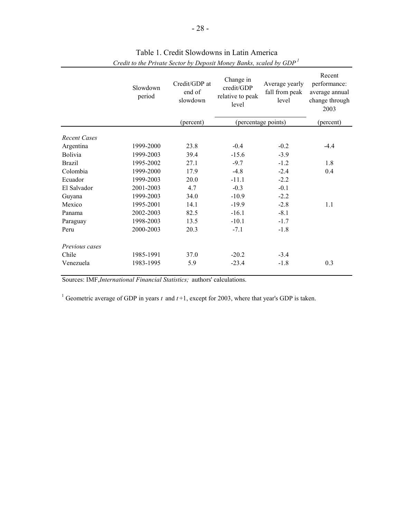|                     | Slowdown<br>period | Credit/GDP at<br>end of<br>slowdown | Change in<br>credit/GDP<br>relative to peak<br>level | Average yearly<br>fall from peak<br>level | Recent<br>performance:<br>average annual<br>change through<br>2003 |
|---------------------|--------------------|-------------------------------------|------------------------------------------------------|-------------------------------------------|--------------------------------------------------------------------|
|                     |                    | (percent)                           |                                                      | (percentage points)                       | (percent)                                                          |
| <b>Recent Cases</b> |                    |                                     |                                                      |                                           |                                                                    |
| Argentina           | 1999-2000          | 23.8                                | $-0.4$                                               | $-0.2$                                    | $-4.4$                                                             |
| <b>Bolivia</b>      | 1999-2003          | 39.4                                | $-15.6$                                              | $-3.9$                                    |                                                                    |
| <b>Brazil</b>       | 1995-2002          | 27.1                                | $-9.7$                                               | $-1.2$                                    | 1.8                                                                |
| Colombia            | 1999-2000          | 17.9                                | $-4.8$                                               | $-2.4$                                    | 0.4                                                                |
| Ecuador             | 1999-2003          | 20.0                                | $-11.1$                                              | $-2.2$                                    |                                                                    |
| El Salvador         | 2001-2003          | 4.7                                 | $-0.3$                                               | $-0.1$                                    |                                                                    |
| Guyana              | 1999-2003          | 34.0                                | $-10.9$                                              | $-2.2$                                    |                                                                    |
| Mexico              | 1995-2001          | 14.1                                | $-19.9$                                              | $-2.8$                                    | 1.1                                                                |
| Panama              | 2002-2003          | 82.5                                | $-16.1$                                              | $-8.1$                                    |                                                                    |
| Paraguay            | 1998-2003          | 13.5                                | $-10.1$                                              | $-1.7$                                    |                                                                    |
| Peru                | 2000-2003          | 20.3                                | $-7.1$                                               | $-1.8$                                    |                                                                    |
| Previous cases      |                    |                                     |                                                      |                                           |                                                                    |
| Chile               | 1985-1991          | 37.0                                | $-20.2$                                              | $-3.4$                                    |                                                                    |
| Venezuela           | 1983-1995          | 5.9                                 | $-23.4$                                              | $-1.8$                                    | 0.3                                                                |

*Credit to the Private Sector by Deposit Money Banks, scaled by GDP <sup>1</sup>* Table 1. Credit Slowdowns in Latin America

Sources: IMF,*International Financial Statistics;* authors' calculations.

<sup>1</sup> Geometric average of GDP in years  $t$  and  $t+1$ , except for 2003, where that year's GDP is taken.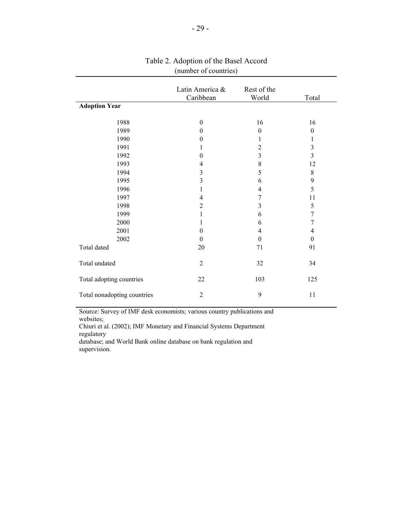|                             | Latin America &  | Rest of the             |              |
|-----------------------------|------------------|-------------------------|--------------|
|                             | Caribbean        | World                   | Total        |
| <b>Adoption Year</b>        |                  |                         |              |
|                             |                  |                         |              |
| 1988                        | $\boldsymbol{0}$ | 16                      | 16           |
| 1989                        | $\theta$         | $\overline{0}$          | $\mathbf{0}$ |
| 1990                        | $\Omega$         | 1                       | 1            |
| 1991                        |                  | $\overline{2}$          | 3            |
| 1992                        | $\theta$         | $\overline{\mathbf{3}}$ | 3            |
| 1993                        | 4                | 8                       | 12           |
| 1994                        | 3                | 5                       | $8\,$        |
| 1995                        | 3                | 6                       | 9            |
| 1996                        | 1                | 4                       | 5            |
| 1997                        | 4                | 7                       | 11           |
| 1998                        | $\overline{2}$   | 3                       | 5            |
| 1999                        | 1                | 6                       | 7            |
| 2000                        | 1                | 6                       | 7            |
| 2001                        | $\Omega$         | 4                       | 4            |
| 2002                        | $\theta$         | $\theta$                | $\theta$     |
| Total dated                 | 20               | 71                      | 91           |
| Total undated               | $\overline{2}$   | 32                      | 34           |
| Total adopting countries    | $22\,$           | 103                     | 125          |
| Total nonadopting countries | $\overline{2}$   | 9                       | 11           |
|                             |                  |                         |              |

## Table 2. Adoption of the Basel Accord (number of countries)

Source: Survey of IMF desk economists; various country publications and websites;

Chiuri et al. (2002); IMF Monetary and Financial Systems Department regulatory

database; and World Bank online database on bank regulation and supervision.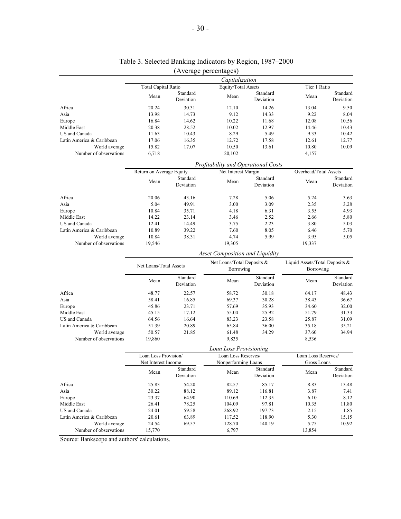|                           |                            |                       | Capitalization                          |                       |                                             |                       |
|---------------------------|----------------------------|-----------------------|-----------------------------------------|-----------------------|---------------------------------------------|-----------------------|
|                           | <b>Total Capital Ratio</b> |                       | Equity/Total Assets                     |                       | Tier 1 Ratio                                |                       |
|                           | Mean                       | Standard<br>Deviation | Mean                                    | Standard<br>Deviation | Mean                                        | Standard<br>Deviation |
| Africa                    | 20.24                      | 30.31                 | 12.10                                   | 14.26                 | 13.04                                       | 9.50                  |
| Asia                      | 13.98                      | 14.73                 | 9.12                                    | 14.33                 | 9.22                                        | 8.04                  |
| Europe                    | 16.84                      | 14.62                 | 10.22                                   | 11.68                 | 12.08                                       | 10.56                 |
| Middle East               | 20.38                      | 28.52                 | 10.02                                   | 12.97                 | 14.46                                       | 10.43                 |
| US and Canada             | 11.63                      | 10.43                 | 8.29                                    | 5.49                  | 9.33                                        | 10.42                 |
| Latin America & Caribbean | 17.06                      | 16.35                 | 12.72                                   | 17.58                 | 12.61                                       | 12.77                 |
| World average             | 15.82                      | 17.07                 | 10.50                                   | 13.61                 | 10.80                                       | 10.09                 |
| Number of observations    | 6,718                      |                       | 20,102                                  |                       | 4,157                                       |                       |
|                           |                            |                       | Profitability and Operational Costs     |                       |                                             |                       |
|                           | Return on Average Equity   |                       | Net Interest Margin                     |                       | Overhead/Total Assets                       |                       |
|                           | Mean                       | Standard<br>Deviation | Mean                                    | Standard<br>Deviation | Mean                                        | Standard<br>Deviation |
| Africa                    | 20.06                      | 43.16                 | 7.28                                    | 5.06                  | 5.24                                        | 3.63                  |
| Asia                      | 5.04                       | 49.91                 | 3.00                                    | 3.09                  | 2.35                                        | 3.28                  |
| Europe                    | 10.84                      | 35.71                 | 4.18                                    | 6.31                  | 3.55                                        | 4.93                  |
| Middle East               | 14.22                      | 23.14                 | 3.46                                    | 2.52                  | 2.66                                        | 5.80                  |
| US and Canada             | 12.41                      | 14.49                 | 3.75                                    | 2.23                  | 3.80                                        | 5.03                  |
| Latin America & Caribbean | 10.89                      | 39.22                 | 7.60                                    | 8.05                  | 6.46                                        | 5.70                  |
| World average             | 10.84                      | 38.31                 | 4.74                                    | 5.99                  | 3.95                                        | 5.05                  |
| Number of observations    | 19,546                     |                       | 19,305                                  |                       | 19,337                                      |                       |
|                           |                            |                       | <b>Asset Composition and Liquidity</b>  |                       |                                             |                       |
|                           | Net Loans/Total Assets     |                       | Net Loans/Total Deposits &<br>Borrowing |                       | Liquid Assets/Total Deposits &<br>Borrowing |                       |
|                           | Mean                       | Standard              | Mean                                    | Standard              | Mean                                        | Standard              |

## Table 3. Selected Banking Indicators by Region, 1987–2000 (Average percentages)

|                           | Net Loans/Total Assets |                       | Net Loans/Total Deposits &<br>Borrowing  |                       | Liquid Assets/Total Deposits &<br>Borrowing |                       |
|---------------------------|------------------------|-----------------------|------------------------------------------|-----------------------|---------------------------------------------|-----------------------|
|                           | Mean                   | Standard<br>Deviation | Mean                                     | Standard<br>Deviation | Mean                                        | Standard<br>Deviation |
| Africa                    | 48.77                  | 22.57                 | 58.72                                    | 30.18                 | 64.17                                       | 48.43                 |
| Asia                      | 58.41                  | 16.85                 | 69.37                                    | 30.28                 | 38.43                                       | 36.67                 |
| Europe                    | 45.86                  | 23.71                 | 57.69                                    | 35.93                 | 34.60                                       | 32.00                 |
| Middle East               | 45.15                  | 17.12                 | 55.04                                    | 25.92                 | 51.79                                       | 31.33                 |
| US and Canada             | 64.56                  | 16.64                 | 83.23                                    | 23.58                 | 25.87                                       | 31.09                 |
| Latin America & Caribbean | 51.39                  | 20.89                 | 65.84                                    | 36.00                 | 35.18                                       | 35.21                 |
| World average             | 50.57                  | 21.85                 | 61.48                                    | 34.29                 | 37.60                                       | 34.94                 |
| Number of observations    | 19,860                 |                       | 9,835                                    |                       | 8,536                                       |                       |
|                           |                        |                       | $I = \ldots I = \ldots D_{\text{model}}$ |                       |                                             |                       |

|                           |                      |                       | Loan Loss Provisioning |                       |                     |                       |
|---------------------------|----------------------|-----------------------|------------------------|-----------------------|---------------------|-----------------------|
|                           | Loan Loss Provision/ |                       | Loan Loss Reserves/    |                       | Loan Loss Reserves/ |                       |
|                           | Net Interest Income  |                       | Nonperforming Loans    |                       | Gross Loans         |                       |
|                           | Mean                 | Standard<br>Deviation | Mean                   | Standard<br>Deviation | Mean                | Standard<br>Deviation |
| Africa                    | 25.83                | 54.20                 | 82.57                  | 85.17                 | 8.83                | 13.48                 |
| Asia                      | 30.22                | 88.12                 | 89.12<br>116.81        |                       | 3.87                | 7.41                  |
| Europe                    | 23.37                | 64.90                 | 110.69                 | 112.35                | 6.10                | 8.12                  |
| Middle East               | 26.41                | 78.25                 | 104.09                 | 97.81                 | 10.35               | 11.80                 |
| US and Canada             | 24.01                | 59.58                 | 268.92                 | 197.73                | 2.15                | 1.85                  |
| Latin America & Caribbean | 20.61                | 63.89                 | 117.52                 | 118.90                | 5.30                | 15.15                 |
| World average             | 24.54                | 69.57                 | 128.70                 | 140.19                | 5.75                | 10.92                 |
| Number of observations    | 15,770               |                       | 6,797                  |                       | 13,854              |                       |

Source: Bankscope and authors' calculations.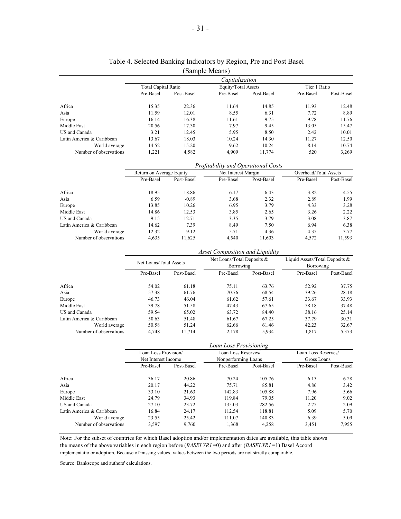|                           |                            |            | Sample Means)       |            |              |            |
|---------------------------|----------------------------|------------|---------------------|------------|--------------|------------|
|                           |                            |            | Capitalization      |            |              |            |
|                           | <b>Total Capital Ratio</b> |            | Equity/Total Assets |            | Tier 1 Ratio |            |
|                           | Pre-Basel                  | Post-Basel | Pre-Basel           | Post-Basel | Pre-Basel    | Post-Basel |
| Africa                    | 15.35                      | 22.36      | 11.64               | 14.85      | 11.93        | 12.48      |
| Asia                      | 11.59                      | 12.01      | 8.55                | 6.31       | 7.72         | 8.89       |
| Europe                    | 16.14                      | 16.38      | 11.61               | 9.75       | 9.78         | 11.76      |
| Middle East               | 20.56                      | 17.30      | 7.97                | 9.45       | 13.05        | 15.47      |
| US and Canada             | 3.21                       | 12.45      | 5.95                | 8.50       | 2.42         | 10.01      |
| Latin America & Caribbean | 13.67                      | 18.03      | 10.24               | 14.30      | 11.27        | 12.50      |
| World average             | 14.52                      | 15.20      | 9.62                | 10.24      | 8.14         | 10.74      |
| Number of observations    | 1.221                      | 4,582      | 4.909               | 11.774     | 520          | 3,269      |
|                           |                            |            |                     |            |              |            |

#### Table 4. Selected Banking Indicators by Region, Pre and Post Basel (Sample Means)

|                           |                          |            | <b>Profitability and Operational Costs</b> |            |                       |            |
|---------------------------|--------------------------|------------|--------------------------------------------|------------|-----------------------|------------|
|                           | Return on Average Equity |            | Net Interest Margin                        |            | Overhead/Total Assets |            |
|                           | Pre-Basel                | Post-Basel | Pre-Basel                                  | Post-Basel | Pre-Basel             | Post-Basel |
| Africa                    | 18.95                    | 18.86      | 6.17                                       | 6.43       | 3.82                  | 4.55       |
| Asia                      | 6.59                     | $-0.89$    | 3.68                                       | 2.32       | 2.89                  | 1.99       |
| Europe                    | 13.85                    | 10.26      | 6.95                                       | 3.79       | 4.33                  | 3.28       |
| Middle East               | 14.86                    | 12.53      | 3.85                                       | 2.65       | 3.26                  | 2.22       |
| US and Canada             | 9.15                     | 12.71      | 3.35                                       | 3.79       | 3.08                  | 3.87       |
| Latin America & Caribbean | 14.62                    | 7.39       | 8.49                                       | 7.50       | 6.94                  | 6.38       |
| World average             | 12.32                    | 9.12       | 5.71                                       | 4.36       | 4.35                  | 3.77       |
| Number of observations    | 4,635                    | 11,625     | 4.540                                      | 11.603     | 4,572                 | 11,593     |

|                           |                                                                 |            | Asset Composition and Liquidity         |       |                                                |       |
|---------------------------|-----------------------------------------------------------------|------------|-----------------------------------------|-------|------------------------------------------------|-------|
|                           | Net Loans/Total Assets                                          |            | Net Loans/Total Deposits &<br>Borrowing |       | Liquid Assets/Total Deposits $\&$<br>Borrowing |       |
|                           | Pre-Basel<br>Post-Basel<br>Pre-Basel<br>Post-Basel<br>Pre-Basel | Post-Basel |                                         |       |                                                |       |
| Africa                    | 54.02                                                           | 61.18      | 75.11                                   | 63.76 | 52.92                                          | 37.75 |
| Asia                      | 57.38                                                           | 61.76      | 70.76                                   | 68.54 | 39.26                                          | 28.18 |
| Europe                    | 46.73                                                           | 46.04      | 61.62                                   | 57.61 | 33.67                                          | 33.93 |
| Middle East               | 39.78                                                           | 51.58      | 47.43                                   | 67.65 | 58.18                                          | 37.48 |
| US and Canada             | 59.54                                                           | 65.02      | 63.72                                   | 84.40 | 38.16                                          | 25.14 |
| Latin America & Caribbean | 50.63                                                           | 51.48      | 61.67                                   | 67.25 | 37.79                                          | 30.31 |
| World average             | 50.58                                                           | 51.24      | 62.66                                   | 61.46 | 42.23                                          | 32.67 |
| Number of observations    | 4,748                                                           | 11.714     | 2.178                                   | 5,934 | 1,817                                          | 5,373 |

|                           |                      |            | Loan Loss Provisioning |            |                     |            |
|---------------------------|----------------------|------------|------------------------|------------|---------------------|------------|
|                           | Loan Loss Provision/ |            | Loan Loss Reserves/    |            | Loan Loss Reserves/ |            |
|                           | Net Interest Income  |            | Nonperforming Loans    |            | Gross Loans         |            |
|                           | Pre-Basel            | Post-Basel | Pre-Basel              | Post-Basel | Pre-Basel           | Post-Basel |
| Africa                    | 36.17                | 20.86      | 70.24                  | 105.76     | 6.13                | 6.28       |
| Asia                      | 20.17                | 44.22      | 75.71                  | 85.81      | 4.86                | 3.42       |
| Europe                    | 33.10                | 21.63      | 105.88<br>142.83       |            | 7.96                | 5.66       |
| Middle East               | 24.79                | 34.93      | 119.84                 | 79.05      | 11.20               | 9.02       |
| US and Canada             | 27.10                | 23.72      | 135.03                 | 282.56     | 2.75                | 2.09       |
| Latin America & Caribbean | 16.84                | 24.17      | 112.54                 | 118.81     | 5.09                | 5.70       |
| World average             | 23.55                | 25.42      | 111.07                 | 140.83     | 6.39                | 5.09       |
| Number of observations    | 3,597                | 9,760      | 1,368                  | 4,258      | 3,451               | 7,955      |

Note: For the subset of countries for which Basel adoption and/or implementation dates are available, this table shows the means of the above variables in each region before (*BASELYR1* =0) and after (*BASELYR1* =1) Basel Accord implementatio or adoption. Because of missing values, values between the two periods are not strictly comparable.

Source: Bankscope and authors' calculations.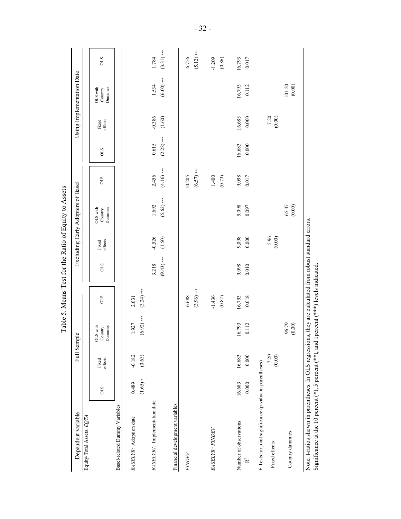| Dependent variable                                                                                                                                                         |                    | Full Sample        |                                |                                  |                       |                    | Excluding Early Adopters of Basel<br>Table 5. Means Test for the Ratio of Equity to Assets |                           |                       |                    | Using Implementation Date                       |                          |
|----------------------------------------------------------------------------------------------------------------------------------------------------------------------------|--------------------|--------------------|--------------------------------|----------------------------------|-----------------------|--------------------|--------------------------------------------------------------------------------------------|---------------------------|-----------------------|--------------------|-------------------------------------------------|--------------------------|
| Equity/Total Assets, EQTA                                                                                                                                                  |                    |                    |                                |                                  |                       |                    |                                                                                            |                           |                       |                    |                                                 |                          |
|                                                                                                                                                                            | <b>OLS</b>         | effects<br>Fixed   | OLS with<br>Dummies<br>Country | <b>OLS</b>                       | <b>CTO</b>            | Fixed<br>effects   | Dummies<br>OLS with<br>Country                                                             | <b>OLS</b>                | STO                   | effects<br>Fixed   | Dummies<br>OLS with<br>$\operatorname{Country}$ | STO                      |
| Basel-related Dummy Variables                                                                                                                                              |                    |                    |                                |                                  |                       |                    |                                                                                            |                           |                       |                    |                                                 |                          |
| BASELYR: Adoption date                                                                                                                                                     | $(1.65)*$<br>0.489 | (0.63)<br>$-0.182$ | $(6.92)$ ***<br>1.927          | $(3.24)$ ***<br>2.031            |                       |                    |                                                                                            |                           |                       |                    |                                                 |                          |
| BASELYR1: Implementation date                                                                                                                                              |                    |                    |                                |                                  | $(9.43)$ ***<br>3.218 | $-0.526$<br>(1.50) | $(5.62)$ ***<br>1.692                                                                      | $(4.16)$ ***<br>2.456     | $(2.28)$ ***<br>0.615 | $-0.386$<br>(1.60) | $(6.00)$ ***<br>1.534                           | $(3.31)$ ***<br>1.784    |
| Financial development variables                                                                                                                                            |                    |                    |                                |                                  |                       |                    |                                                                                            |                           |                       |                    |                                                 |                          |
| <b>FINDEV</b>                                                                                                                                                              |                    |                    |                                | $(3.96)$ ***<br>6.688            |                       |                    |                                                                                            | $(6.57)$ ***<br>$-10.205$ |                       |                    |                                                 | $(5.12)$ ***<br>$-6.756$ |
| <b>BASELYR · FINDEV</b>                                                                                                                                                    |                    |                    |                                | $-1.436$<br>(0.82)               |                       |                    |                                                                                            | 1.400<br>(0.73)           |                       |                    |                                                 | $-1.209$<br>(0.86)       |
| Number of observations<br>$\mathbf{R}^2$                                                                                                                                   | 16,683<br>0.000    | 16,683<br>0.000    | 16,793<br>0.112                | 16,793<br>0.018                  | 9,098<br>0.010        | 9,098<br>0.000     | 9,098<br>0.097                                                                             | 9,098<br>0.017            | 0.000<br>16,683       | 16,683<br>0.000    | 16,793<br>0.112                                 | 16,793<br>0.017          |
| F-Tests for joint significance (p-value in parentheses)                                                                                                                    |                    |                    |                                |                                  |                       |                    |                                                                                            |                           |                       |                    |                                                 |                          |
| Fixed effects                                                                                                                                                              |                    | 7.20<br>(0.00)     |                                |                                  |                       | 5.96<br>$(0.00)$   |                                                                                            |                           |                       | 7.20<br>(0.00)     |                                                 |                          |
| Country dummies                                                                                                                                                            |                    |                    | 96.79<br>$(0.00)$              |                                  |                       |                    | 65.47<br>$(0.00)$                                                                          |                           |                       |                    | 101.20<br>(0.00)                                |                          |
| Note: t-ratios shown in parentheses. In OLS regressions, they are calculated from robust standard errors.<br>Significance at the 10 percent ( $*$ ), 5 percent ( $*$ , and |                    |                    |                                | 1percent (***) levels indicated. |                       |                    |                                                                                            |                           |                       |                    |                                                 |                          |

- 32 -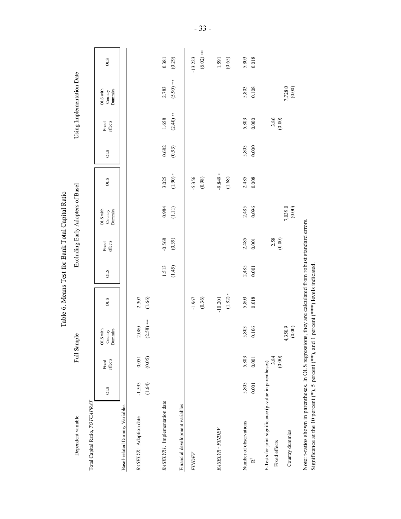|                                                                                                                                                                                                                      |                    |                  |                                |                        |                 |                    | Table 6. Means Test for Bank Total Capital Ratio |                    |                 |                      |                                |                           |
|----------------------------------------------------------------------------------------------------------------------------------------------------------------------------------------------------------------------|--------------------|------------------|--------------------------------|------------------------|-----------------|--------------------|--------------------------------------------------|--------------------|-----------------|----------------------|--------------------------------|---------------------------|
| Dependent variable                                                                                                                                                                                                   |                    |                  | Full Sample                    |                        |                 |                    | Excluding Early Adopters of Basel                |                    |                 |                      | Using Implementation Date      |                           |
| Total Capital Ratio, TOTCAPRAT                                                                                                                                                                                       |                    |                  |                                |                        |                 |                    |                                                  |                    |                 |                      |                                |                           |
|                                                                                                                                                                                                                      | <b>OLS</b>         | effects<br>Fixed | OLS with<br>Dummies<br>Country | <b>OLS</b>             | <b>OLS</b>      | effects<br>Fixed   | Dummies<br>OLS with<br>Country                   | <b>OLS</b>         | <b>OLS</b>      | effects<br>Fixed     | Dunnies<br>OLS with<br>Country | <b>OLS</b>                |
| Basel-related Dummy Variables                                                                                                                                                                                        |                    |                  |                                |                        |                 |                    |                                                  |                    |                 |                      |                                |                           |
| BASELYR: Adoption date                                                                                                                                                                                               | (1.64)<br>$-1.593$ | (0.05)<br>0.051  | $(2.58)$ ***<br>2.080          | (1.66)<br>2.307        |                 |                    |                                                  |                    |                 |                      |                                |                           |
| BASELYR1: Implementation date                                                                                                                                                                                        |                    |                  |                                |                        | 1.513<br>(1.45) | $-0.568$<br>(0.39) | 0.984<br>(1.11)                                  | $(1.90)*$<br>3.025 | 0.682<br>(0.93) | $(2.40)$ **<br>1.658 | $(5.90)$ ***<br>2.783          | 0.381<br>(0.29)           |
| Financial development variables                                                                                                                                                                                      |                    |                  |                                |                        |                 |                    |                                                  |                    |                 |                      |                                |                           |
| <b>FINDEV</b>                                                                                                                                                                                                        |                    |                  |                                | (0.36)<br>$-1.967$     |                 |                    |                                                  | $-5.356$<br>(0.98) |                 |                      |                                | $(6.02)$ ***<br>$-13.223$ |
| <b>BASELYR · FINDEV</b>                                                                                                                                                                                              |                    |                  |                                | $(1.82)*$<br>$-10.201$ |                 |                    |                                                  | $-9.849$<br>(1.68) |                 |                      |                                | 1.591<br>(0.65)           |
| Number of observations<br>$R^2$                                                                                                                                                                                      | 5,803<br>0.001     | 5,803<br>0.001   | 5,803<br>0.106                 | 5,803<br>0.018         | 2,485<br>0.001  | 2,485<br>0.001     | 2,485<br>0.096                                   | 2,485<br>0.008     | 5,803<br>0.000  | 5,803<br>0.000       | 0.108<br>5,803                 | 5,803<br>0.018            |
| F-Tests for joint significance (p-value in parentheses)<br>Country dummies<br>Fixed effects                                                                                                                          |                    | 3.84<br>(0.00)   | 4,350.9<br>(0.00)              |                        |                 | 2.58<br>(0.00)     | 7,039.0<br>(0.00)                                |                    |                 | $3.86$<br>(0.00)     | 7,728.0<br>(0.00)              |                           |
| Note: t-ratios shown in parentheses. In OLS regressions, they are calculated from robust standard errors.<br>Significance at the 10 percent ( $^*$ ), 5 percent ( $^*$ , and 1 percent ( $^{***}$ ) levels indicated |                    |                  |                                |                        |                 |                    |                                                  |                    |                 |                      |                                |                           |

- 33 -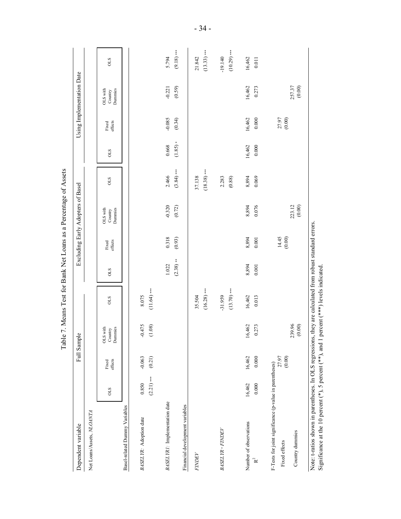|                                                                                                                          |                       |                    |                                |                                                                                           |                      |                  | Table 7. Means Test for Bank Net Loans as a Percentage of Assets |                         |                 |                     |                                |                            |
|--------------------------------------------------------------------------------------------------------------------------|-----------------------|--------------------|--------------------------------|-------------------------------------------------------------------------------------------|----------------------|------------------|------------------------------------------------------------------|-------------------------|-----------------|---------------------|--------------------------------|----------------------------|
| Dependent variable                                                                                                       |                       |                    | Full Sample                    |                                                                                           |                      |                  | Excluding Early Adopters of Basel                                |                         |                 |                     | Using Implementation Date      |                            |
| Net Loans/Assets, NLOANTA                                                                                                |                       |                    |                                |                                                                                           |                      |                  |                                                                  |                         |                 |                     |                                |                            |
|                                                                                                                          | <b>OLS</b>            | effects<br>Fixed   | Dummies<br>OLS with<br>Country | <b>CTO</b>                                                                                | <b>CTO</b>           | Fixed<br>effects | OLS with<br>Dummies<br>Country                                   | STO                     | <b>CTO</b>      | Fixed<br>effects    | Dummies<br>OLS with<br>Country | <b>OLS</b>                 |
| Basel-related Dummy Variables                                                                                            |                       |                    |                                |                                                                                           |                      |                  |                                                                  |                         |                 |                     |                                |                            |
| BASELYR: Adoption date                                                                                                   | $(2.21)$ ***<br>0.850 | $-0.063$<br>(0.21) | $-0.475$<br>(1.08)             | $(11.64)$ ***<br>8.075                                                                    |                      |                  |                                                                  |                         |                 |                     |                                |                            |
| BASELYR1: Implementation date                                                                                            |                       |                    |                                |                                                                                           | $(2.38)$ **<br>1.022 | 0.318<br>(0.93)  | $-0.320$<br>(0.72)                                               | $(3.84)$ ***<br>2.466   | (1.85)<br>0.668 | $-0.085$<br>(0.34)  | $-0.221$<br>(0.59)             | $(9.18)$ ***<br>5.794      |
| Financial development variables                                                                                          |                       |                    |                                |                                                                                           |                      |                  |                                                                  |                         |                 |                     |                                |                            |
| <b>FINDEV</b>                                                                                                            |                       |                    |                                | $(16.28)$ ***<br>35.504                                                                   |                      |                  |                                                                  | $(18.38)$ ***<br>37.138 |                 |                     |                                | $(13.33)$ ***<br>21.842    |
| <b>BASELYR · FINDEV</b>                                                                                                  |                       |                    |                                | $(13.70)$ **<br>$-31.959$                                                                 |                      |                  |                                                                  | 2.283<br>$(0.88)$       |                 |                     |                                | $(10.29)$ ***<br>$-19.140$ |
| Number of observations<br>$\mathbf{k}^2$                                                                                 | 16,462<br>0.000       | 0.000<br>16,462    | 16,462<br>0.273                | 16,462<br>0.013                                                                           | 8,894<br>0.001       | 8,894<br>$0.001$ | 8,894<br>0.076                                                   | 8,894<br>0.069          | 16,462<br>0.000 | 16,462<br>$0.000\,$ | 16,462<br>0.273                | 16,462<br>$0.011\,$        |
| F-Tests for joint significance (p-value in parentheses)<br>Country dummies<br>Fixed effects                              |                       | 27.97<br>(0.00)    | 239.96<br>(0.00)               |                                                                                           |                      | 14.45<br>(0.00)  | 223.12<br>(0.00)                                                 |                         |                 | 27.97<br>(0.00)     | 257.37<br>(0.00)               |                            |
| Note: t-ratios shown in parentheses. In OLS regression<br>Significance at the 10 percent $(*),$ 5 percent $(**)$ , and 1 |                       |                    |                                | is, they are calculated from robust standard errors.<br>1 percent (***) levels indicated. |                      |                  |                                                                  |                         |                 |                     |                                |                            |

- 34 -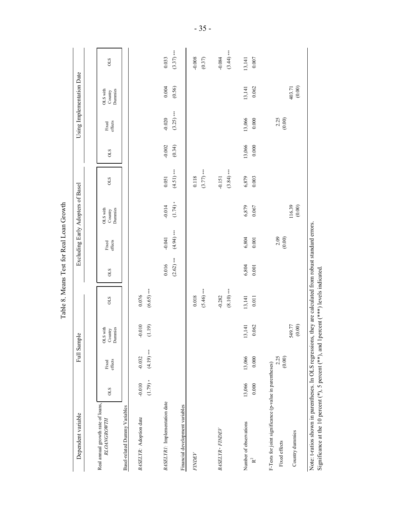|                                                                                                                                                                           |                        |                         |                                | Table 8. Means Test for Real Loan Growth |                       |                          |                                   |                          |                    |                          |                                |                          |
|---------------------------------------------------------------------------------------------------------------------------------------------------------------------------|------------------------|-------------------------|--------------------------------|------------------------------------------|-----------------------|--------------------------|-----------------------------------|--------------------------|--------------------|--------------------------|--------------------------------|--------------------------|
| Dependent variable                                                                                                                                                        |                        | Full Sample             |                                |                                          |                       |                          | Excluding Early Adopters of Basel |                          |                    |                          | Using Implementation Date      |                          |
|                                                                                                                                                                           |                        |                         |                                |                                          |                       |                          |                                   |                          |                    |                          |                                |                          |
| Real annual growth rate of loans,<br><b>RLOANGROWTH</b>                                                                                                                   | STO                    | effects<br>Fixed        | OLS with<br>Dunnies<br>Country | <b>OLS</b>                               | <b>OLS</b>            | Fixed<br>effects         | Dunnies<br>OLS with<br>Country    | <b>OLS</b>               | STO                | Fixed<br>effects         | Dummies<br>OLS with<br>Country | <b>OLS</b>               |
| Basel-related Dummy Variables                                                                                                                                             |                        |                         |                                |                                          |                       |                          |                                   |                          |                    |                          |                                |                          |
| BASELYR: Adoption date                                                                                                                                                    | $(1.79) *$<br>$-0.010$ | $(4.19)***$<br>$-0.032$ | $-0.010$<br>(1.19)             | $(6.65)$ ***<br>0.076                    |                       |                          |                                   |                          |                    |                          |                                |                          |
| BASELYR1: Implementation date                                                                                                                                             |                        |                         |                                |                                          | $(2.62)$ ***<br>0.016 | $(4.94)$ ***<br>$-0.041$ | $(1.74) *$<br>$-0.014$            | $(4.51)$ ***<br>0.051    | $-0.002$<br>(0.34) | $(3.25)$ ***<br>$-0.020$ | 0.004<br>(0.56)                | $(3.37)$ ***<br>0.033    |
| Financial development variables                                                                                                                                           |                        |                         |                                |                                          |                       |                          |                                   |                          |                    |                          |                                |                          |
| FINDEV                                                                                                                                                                    |                        |                         |                                | $(5.46)$ ***<br>0.018                    |                       |                          |                                   | $(3.77)$ ***<br>0.118    |                    |                          |                                | $-0.008$<br>(0.37)       |
| <b>BASELYR · FINDEV</b>                                                                                                                                                   |                        |                         |                                | $(8.10)$ ***<br>$-0.282$                 |                       |                          |                                   | $(3.84)$ ***<br>$-0.151$ |                    |                          |                                | $(3.44)$ ***<br>$-0.084$ |
| Number of observations<br>$\mathbf{R}^2$                                                                                                                                  | 13,066<br>0.000        | 13,066<br>0.000         | 0.062<br>13,141                | 13,141<br>0.011                          | 6,804<br>0.001        | 6,804<br>0.001           | 6,879<br>0.067                    | 6,879<br>0.003           | 13,066<br>0.000    | 13,066<br>0.000          | 0.062<br>13,141                | 13,141<br>0.007          |
| F-Tests for joint significance (p-value in parentheses)                                                                                                                   |                        |                         |                                |                                          |                       |                          |                                   |                          |                    |                          |                                |                          |
| Fixed effects                                                                                                                                                             |                        | 2.25<br>(0.00)          |                                |                                          |                       | 2.09<br>(0.00)           |                                   |                          |                    | 2.25<br>$(0.00)$         |                                |                          |
| Country dummies                                                                                                                                                           |                        |                         | 549.77                         |                                          |                       |                          | 116.39<br>$(0.00)$                |                          |                    |                          | $(0.00)$<br>403.71             |                          |
| Note: t-ratios shown in parentheses. In OLS regressions, they are calculated from robust standard errors.<br>Significance at the 10 percent $(*),$ 5 percent $(**)$ , and |                        |                         |                                | 1percent (***) levels indicated.         |                       |                          |                                   |                          |                    |                          |                                |                          |

 $-35 -$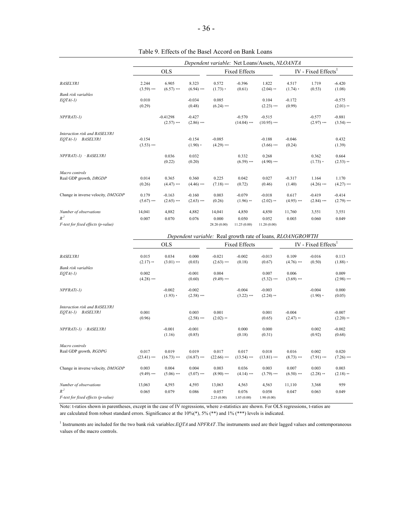|                                    |                       |                       |                       |                     |                      | Dependent variable: Net Loans/Assets, NLOANTA              |                     |                                 |                    |
|------------------------------------|-----------------------|-----------------------|-----------------------|---------------------|----------------------|------------------------------------------------------------|---------------------|---------------------------------|--------------------|
|                                    |                       | <b>OLS</b>            |                       |                     | <b>Fixed Effects</b> |                                                            |                     | IV - Fixed Effects <sup>1</sup> |                    |
| <b>BASELYR1</b>                    | 2.244<br>$(3.59)$ *** | 6.905<br>$(6.57)$ *** | 8.323<br>$(6.94)$ *** | 0.572<br>$(1.73) *$ | $-0.396$<br>(0.61)   | 1.822<br>$(2.04)$ **                                       | 4.517<br>$(1.74)$ * | 1.719<br>(0.53)                 | $-6.420$<br>(1.08) |
| Bank risk variables                |                       |                       |                       |                     |                      |                                                            |                     |                                 |                    |
| $EOTA(-1)$                         | 0.010                 |                       | $-0.034$              | 0.085               |                      | 0.104                                                      | $-0.172$            |                                 | $-0.575$           |
|                                    | (0.29)                |                       | (0.48)                | $(6.24)$ ***        |                      | $(2.23)$ ***                                               | (0.99)              |                                 | $(2.01)$ **        |
| $NPFRAT(-1)$                       |                       | $-0.41298$            | $-0.427$              |                     | $-0.570$             | $-0.515$                                                   |                     | $-0.577$                        | $-0.881$           |
|                                    |                       | $(2.57)$ ***          | $(2.86)$ ***          |                     | $(14.04)$ ***        | $(10.95)$ ***                                              |                     | $(2.97)$ ***                    | $(3.54)$ ***       |
| Interaction risk and BASELYR1      |                       |                       |                       |                     |                      |                                                            |                     |                                 |                    |
| <b>BASELYR1</b><br>$EOTA(-1)$      | $-0.154$              |                       | $-0.154$              | $-0.085$            |                      | $-0.188$                                                   | $-0.046$            |                                 | 0.432              |
|                                    | $(3.53)$ ***          |                       | $(1.90)$ *            | $(4.29)$ ***        |                      | $(3.66)$ ***                                               | (0.24)              |                                 | (1.39)             |
| NPFRAT(-1) · BASELYR1              |                       | 0.036                 | 0.032                 |                     | 0.332                | 0.268                                                      |                     | 0.362                           | 0.664              |
|                                    |                       | (0.22)                | (0.20)                |                     | $(6.59)$ ***         | $(4.90)$ ***                                               |                     | $(1.73) *$                      | $(2.53)$ **        |
| Macro controls                     |                       |                       |                       |                     |                      |                                                            |                     |                                 |                    |
| Real GDP growth, DRGDP             | 0.014                 | 0.365                 | 0.360                 | 0.225               | 0.042                | 0.027                                                      | $-0.317$            | 1.164                           | 1.170              |
|                                    | (0.26)                | $(4.47)$ ***          | $(4.46)$ ***          | $(7.18)$ ***        | (0.72)               | (0.46)                                                     | (1.40)              | $(4.26)$ ***                    | $(4.27)$ ***       |
| Change in inverse velocity, DM2GDP | 0.179                 | $-0.163$              | $-0.160$              | 0.003               | $-0.079$             | $-0.018$                                                   | 0.617               | $-0.419$                        | $-0.414$           |
|                                    | $(5.67)$ ***          | $(2.65)$ ***          | $(2.63)$ ***          | (0.26)              | $(1.96)$ **          | $(2.02)$ **                                                | $(4.95)$ ***        | $(2.84)$ ***                    | $(2.79)$ ***       |
| Number of observations             | 14,041                | 4,882                 | 4,882                 | 14,041              | 4,850                | 4,850                                                      | 11,760              | 3,551                           | 3,551              |
| $R^2$                              | 0.007                 | 0.070                 | 0.076                 | 0.000               | 0.050                | 0.052                                                      | 0.003               | 0.060                           | 0.049              |
| F-test for fixed effects (p-value) |                       |                       |                       | 28.20 (0.00)        | 11.25(0.00)          | 11.20(0.00)                                                |                     |                                 |                    |
|                                    |                       |                       |                       |                     |                      | Dependent variable: Real growth rate of loans, RLOANGROWTH |                     |                                 |                    |
|                                    |                       |                       |                       |                     |                      |                                                            |                     |                                 |                    |

|                                    |                      | <b>OLS</b>            |                 |                          | <b>Fixed Effects</b> |                    |                       | IV - Fixed Effects <sup>1</sup> |                     |
|------------------------------------|----------------------|-----------------------|-----------------|--------------------------|----------------------|--------------------|-----------------------|---------------------------------|---------------------|
| <b>BASELYR1</b>                    | 0.015<br>$(2.17)$ ** | 0.034<br>$(3.01)$ *** | 0.000<br>(0.03) | $-0.021$<br>$(2.63)$ *** | $-0.002$<br>(0.18)   | $-0.013$<br>(0.67) | 0.109<br>$(4.76)$ *** | $-0.016$<br>(0.50)              | 0.113<br>$(1.88) *$ |
| Bank risk variables                |                      |                       |                 |                          |                      |                    |                       |                                 |                     |
| $EOTA(-1)$                         | 0.002                |                       | $-0.001$        | 0.004                    |                      | 0.007              | 0.006                 |                                 | 0.009               |
|                                    | $(4.28)$ ***         |                       | (0.60)          | $(9.49)$ ***             |                      | $(5.32)$ ***       | $(3.69)$ ***          |                                 | $(2.98)$ ***        |
| $NPFRAT(-1)$                       |                      | $-0.002$              | $-0.002$        |                          | $-0.004$             | $-0.003$           |                       | $-0.004$                        | 0.000               |
|                                    |                      | $(1.93) *$            | $(2.58)$ ***    |                          | $(3.22)$ ***         | $(2.24)$ **        |                       | $(1.90)$ *                      | (0.05)              |
| Interaction risk and BASELYR1      |                      |                       |                 |                          |                      |                    |                       |                                 |                     |
| <b>BASELYRI</b><br>$EOTA(-1)$      | 0.001                |                       | 0.003           | 0.001                    |                      | 0.001              | $-0.004$              |                                 | $-0.007$            |
|                                    | (0.96)               |                       | $(2.58)$ ***    | $(2.02)$ **              |                      | (0.65)             | $(2.47)$ **           |                                 | $(2.20)$ **         |
| NPFRAT(-1) · BASELYR1              |                      | $-0.001$              | $-0.001$        |                          | 0.000                | 0.000              |                       | 0.002                           | $-0.002$            |
|                                    |                      | (1.16)                | (0.85)          |                          | (0.18)               | (0.31)             |                       | (0.92)                          | (0.68)              |
| Macro controls                     |                      |                       |                 |                          |                      |                    |                       |                                 |                     |
| Real GDP growth, RGDPG             | 0.017                | 0.019                 | 0.019           | 0.017                    | 0.017                | 0.018              | 0.016                 | 0.002                           | 0.020               |
|                                    | $(23.41)$ ***        | $(16.73)$ ***         | $(16.87)$ ***   | $(22.66)$ ***            | $(13.54)$ ***        | $(13.81)$ ***      | $(8.73)$ ***          | $(7.91)$ ***                    | $(7.26)$ ***        |
| Change in inverse velocity, DM3GDP | 0.003                | 0.004                 | 0.004           | 0.003                    | 0.036                | 0.003              | 0.007                 | 0.003                           | 0.003               |
|                                    | $(9.49)$ ***         | $(5.06)$ ***          | $(5.07)$ ***    | $(8.90)$ ***             | $(4.14)$ ***         | $(3.79)$ ***       | $(6.50)$ ***          | $(2.28)$ **                     | $(2.18)$ **         |
| Number of observations             | 13,063               | 4,593                 | 4,593           | 13,063                   | 4,563                | 4,563              | 11,110                | 3,368                           | 959                 |
| $R^2$                              | 0.065                | 0.079                 | 0.086           | 0.057                    | 0.076                | 0.058              | 0.047                 | 0.063                           | 0.049               |
| F-test for fixed effects (p-value) |                      |                       |                 | 2.23(0.00)               | 1.85(0.00)           | 1.90(0.00)         |                       |                                 |                     |

Note: t-ratios shown in parentheses, except in the case of IV regressions, where z-statistics are shown. For OLS regressions, t-ratios are are calculated from robust standard errors. Significance at the  $10\%(*)$ ,  $5\%$  (\*\*) and  $1\%$  (\*\*\*) levels is indicated.

1 Instruments are included for the two bank risk variables:*EQTA* and *NPFRAT* .The instruments used are their lagged values and contemporaneous values of the macro controls.

Table 9. Effects of the Basel Accord on Bank Loans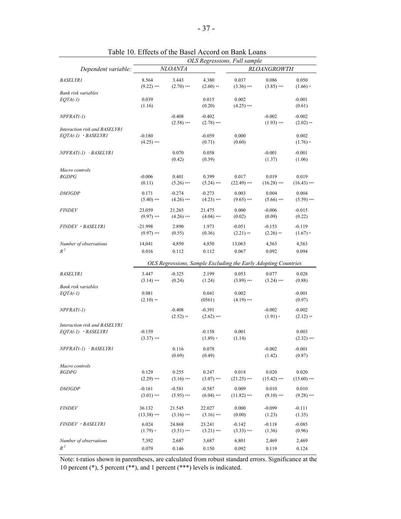|                                                        |                           |                          |                          | OLS Regressions, Full sample                                   |                          |                         |
|--------------------------------------------------------|---------------------------|--------------------------|--------------------------|----------------------------------------------------------------|--------------------------|-------------------------|
| Dependent variable:                                    |                           | <b>NLOANTA</b>           |                          |                                                                | <b>RLOANGROWTH</b>       |                         |
| <b>BASELYR1</b>                                        | 8.564<br>$(9.22)$ ***     | 3.443<br>$(2.70)$ ***    | 4.380<br>$(2.60)$ **     | 0.037<br>$(3.36)$ ***                                          | 0.086<br>$(3.85)$ ***    | 0.050<br>$(1.66) *$     |
| Bank risk variables<br>$EQTA(-1)$                      | 0.039<br>(1.16)           |                          | 0.015<br>(0.20)          | 0.002<br>$(4.25)$ ***                                          |                          | $-0.001$<br>(0.61)      |
| $NPFRAT(-1)$                                           |                           | $-0.408$<br>$(2.58)$ *** | $-0.402$<br>$(2.78)$ *** |                                                                | $-0.002$<br>$(1.93)$ *** | $-0.002$<br>$(2.02)$ ** |
| Interaction risk and BASELYR1<br>$EQTA(-1)$ $BASELYRI$ | $-0.180$<br>$(4.25)$ ***  |                          | $-0.059$<br>(0.71)       | 0.000<br>(0.60)                                                |                          | 0.002<br>$(1.76) *$     |
| $NPFRAT(-1)$ $-BASELYRI$                               |                           | 0.070<br>(0.42)          | 0.058<br>(0.39)          |                                                                | $-0.001$<br>(1.37)       | $-0.001$<br>(1.06)      |
| Macro controls                                         |                           |                          |                          |                                                                |                          |                         |
| <b>RGDPG</b>                                           | $-0.006$<br>(0.11)        | 0.401<br>$(5.26)$ ***    | 0.399<br>$(5.24)$ ***    | 0.017<br>$(22.49)$ ***                                         | 0.019<br>$(16.28)$ ***   | 0.019<br>$(16.43)$ ***  |
| DM3GDP                                                 | 0.171<br>$(5.40)$ ***     | $-0.274$<br>$(4.26)$ *** | $-0.273$<br>$(4.23)$ *** | 0.003<br>$(9.65)$ ***                                          | 0.004<br>$(5.66)$ ***    | 0.004<br>$(5.59)$ ***   |
| <b>FINDEV</b>                                          | 23.059<br>$(9.97)$ ***    | 21.265<br>$(4.26)$ ***   | 21.475<br>$(4.04)$ ***   | 0.000<br>(0.02)                                                | $-0.006$<br>(0.09)       | $-0.015$<br>(0.22)      |
| FINDEV · BASELYRI                                      | $-21.998$<br>$(9.97)$ *** | 2.890<br>(0.55)          | 1.973<br>(0.36)          | $-0.051$<br>$(2.21)$ **                                        | $-0.153$<br>$(2.26)$ **  | $-0.119$<br>$(1.67) *$  |
| Number of observations<br>$R^2$                        | 14,041<br>0.016           | 4,850<br>0.112           | 4,850<br>0.112           | 13,063<br>0.067                                                | 4,563<br>0.092           | 4,563<br>0.094          |
|                                                        |                           |                          |                          | OLS Regressions, Sample Excluding the Early Adopting Countries |                          |                         |
|                                                        |                           |                          |                          |                                                                |                          |                         |
| <b>BASELYR1</b><br>Bank risk variables                 | 3.447<br>$(3.14)$ ***     | $-0.325$<br>(0.24)       | 2.199<br>(1.24)          | 0.053<br>$(3.89)$ ***                                          | 0.077<br>$(3.24)$ ***    | 0.028<br>(0.88)         |
| $EQTA(-1)$                                             | 0.081<br>$(2.10)$ **      |                          | 0.041<br>(0561)          | 0.002<br>$(4.19)$ ***                                          |                          | $-0.001$<br>(0.97)      |
| $NPFRAT(-1)$                                           |                           | $-0.408$<br>$(2.52)$ **  | $-0.391$<br>$(2.62)$ *** |                                                                | $-0.002$<br>$(1.91) *$   | $-0.002$<br>$(2.12)$ ** |
| Interaction risk and BASELYR1                          |                           |                          |                          |                                                                |                          |                         |
| $EOTA(-1)$ $-BASELYRI$                                 | $-0.159$<br>$(3.37)$ ***  |                          | $-0.158$<br>$(1.89)$ *   | 0.001<br>(1.14)                                                |                          | 0.003<br>$(2.32)$ ***   |
| $NPFRAT(-1)$ $-BASELYRI$                               |                           | 0.116<br>(0.69)          | 0.078<br>(0.49)          |                                                                | $-0.002$<br>(1.42)       | $-0.001$<br>(0.87)      |
| Macro controls                                         |                           |                          |                          |                                                                |                          |                         |
| <b>RGDPG</b>                                           | 0.129<br>$(2.29)$ ***     | 0.255<br>$(3.16)$ ***    | 0.247<br>$(3.07)$ ***    | 0.018<br>$(21.25)$ ***                                         | 0.020<br>$(15.42)$ ***   | 0.020<br>$(15.60)$ ***  |
| <i>DM3GDP</i>                                          | $-0.161$<br>$(3.01)$ ***  | $-0.581$<br>$(5.95)$ *** | $-0.587$<br>$(6.04)$ *** | 0.009<br>$(11.82)$ ***                                         | 0.010<br>$(9.10)$ ***    | 0.010<br>$(9.28)$ ***   |
| <b>FINDEV</b>                                          | 36.132<br>$(13.38)$ ***   | 21.545<br>$(3.16)$ ***   | 22.027<br>$(3.16)$ ***   | 0.000<br>(0.00)                                                | $-0.099$<br>(1.23)       | $-0.111$<br>(1.35)      |
| FINDEV · BASELYRI                                      | 6.024<br>$(1.79) *$       | 24.868<br>$(3.51)$ ***   | 23.241<br>$(3.21)$ ***   | $-0.142$<br>$(3.33)$ ***                                       | $-0.118$<br>(1.36)       | $-0.085$<br>(0.96)      |
| Number of observations<br>$R^2$                        | 7,392<br>0.079            | 2,687<br>0.146           | 3,687<br>0.150           | 6,801<br>0.092                                                 | 2,469<br>0.119           | 2,469<br>0.124          |

Table 10. Effects of the Basel Accord on Bank Loans

Note: t-ratios shown in parentheses, are calculated from robust standard errors. Significance at the 10 percent (\*), 5 percent (\*\*), and 1 percent (\*\*\*) levels is indicated.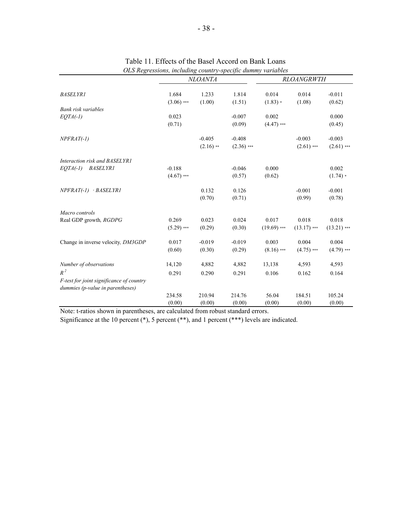|                                                                              |                       | <b>NLOANTA</b>  |                 |                     | <b>RLOANGRWTH</b> |                    |
|------------------------------------------------------------------------------|-----------------------|-----------------|-----------------|---------------------|-------------------|--------------------|
| <b>BASELYR1</b>                                                              | 1.684<br>$(3.06)$ *** | 1.233<br>(1.00) | 1.814<br>(1.51) | 0.014<br>$(1.83) *$ | 0.014<br>(1.08)   | $-0.011$<br>(0.62) |
| Bank risk variables                                                          |                       |                 |                 |                     |                   |                    |
| $EQTA(-1)$                                                                   | 0.023                 |                 | $-0.007$        | 0.002               |                   | 0.000              |
|                                                                              | (0.71)                |                 | (0.09)          | $(4.47)$ ***        |                   | (0.45)             |
| $NPFRAT(-1)$                                                                 |                       | $-0.405$        | $-0.408$        |                     | $-0.003$          | $-0.003$           |
|                                                                              |                       | $(2.16)$ **     | $(2.36)$ ***    |                     | $(2.61)$ ***      | $(2.61)$ ***       |
| Interaction risk and BASELYR1                                                |                       |                 |                 |                     |                   |                    |
| <b>BASELYR1</b><br>$EOTA(-1)$                                                | $-0.188$              |                 | $-0.046$        | 0.000               |                   | 0.002              |
|                                                                              | $(4.67)$ ***          |                 | (0.57)          | (0.62)              |                   | $(1.74) *$         |
| NPFRAT(-1) · BASELYR1                                                        |                       | 0.132           | 0.126           |                     | $-0.001$          | $-0.001$           |
|                                                                              |                       | (0.70)          | (0.71)          |                     | (0.99)            | (0.78)             |
| Macro controls                                                               |                       |                 |                 |                     |                   |                    |
| Real GDP growth, RGDPG                                                       | 0.269                 | 0.023           | 0.024           | 0.017               | 0.018             | 0.018              |
|                                                                              | $(5.29)$ ***          | (0.29)          | (0.30)          | $(19.69)$ ***       | $(13.17)$ ***     | $(13.21)$ ***      |
| Change in inverse velocity, DM3GDP                                           | 0.017                 | $-0.019$        | $-0.019$        | 0.003               | 0.004             | 0.004              |
|                                                                              | (0.60)                | (0.30)          | (0.29)          | $(8.16)$ ***        | $(4.75)$ ***      | $(4.79)$ ***       |
| Number of observations                                                       | 14,120                | 4,882           | 4,882           | 13,138              | 4,593             | 4,593              |
| $R^2$                                                                        | 0.291                 | 0.290           | 0.291           | 0.106               | 0.162             | 0.164              |
| F-test for joint significance of country<br>dummies (p-value in parentheses) |                       |                 |                 |                     |                   |                    |
|                                                                              | 234.58                | 210.94          | 214.76          | 56.04               | 184.51            | 105.24             |
|                                                                              | (0.00)                | (0.00)          | (0.00)          | (0.00)              | (0.00)            | (0.00)             |

Table 11. Effects of the Basel Accord on Bank Loans *OLS Regressions, including country-specific dummy variables*

Note: t-ratios shown in parentheses, are calculated from robust standard errors.

Significance at the 10 percent (\*), 5 percent (\*\*), and 1 percent (\*\*\*) levels are indicated.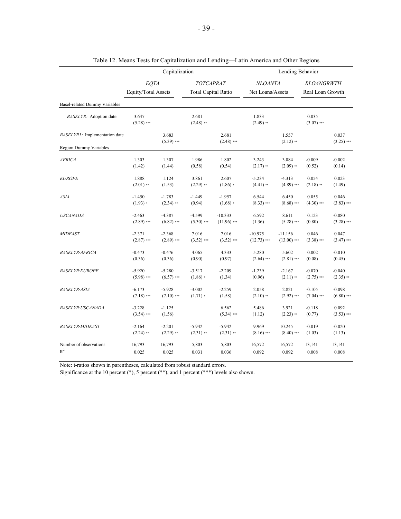|                                      |                             | Capitalization        |                                         |                       |                                    | Lending Behavior     |                                       |                       |
|--------------------------------------|-----------------------------|-----------------------|-----------------------------------------|-----------------------|------------------------------------|----------------------|---------------------------------------|-----------------------|
|                                      | EQTA<br>Equity/Total Assets |                       | TOTCAPRAT<br><b>Total Capital Ratio</b> |                       | <b>NLOANTA</b><br>Net Loans/Assets |                      | <b>RLOANGRWTH</b><br>Real Loan Growth |                       |
| <b>Basel-related Dummy Variables</b> |                             |                       |                                         |                       |                                    |                      |                                       |                       |
| BASELYR: Adoption date               | 3.647<br>$(5.28)$ ***       |                       | 2.681<br>$(2.48)$ **                    |                       | 1.833<br>$(2.49)$ **               |                      | 0.035<br>$(3.07)$ ***                 |                       |
| BASELYR1: Implementation date        |                             | 3.683<br>$(5.39)$ *** |                                         | 2.681<br>$(2.48)$ *** |                                    | 1.557<br>$(2.12)$ ** |                                       | 0.037<br>$(3.25)$ *** |
| <b>Region Dummy Variables</b>        |                             |                       |                                         |                       |                                    |                      |                                       |                       |
| <i>AFRICA</i>                        | 1.303                       | 1.307                 | 1.986                                   | 1.802                 | 3.243                              | 3.084                | $-0.009$                              | $-0.002$              |
|                                      | (1.42)                      | (1.44)                | (0.58)                                  | (0.54)                | $(2.17)$ **                        | $(2.09)$ **          | (0.52)                                | (0.14)                |
| <i>EUROPE</i>                        | 1.888                       | 1.124                 | 3.861                                   | 2.607                 | $-5.234$                           | $-4.313$             | 0.054                                 | 0.023                 |
|                                      | $(2.01)$ **                 | (1.53)                | $(2.29)$ **                             | $(1.86)$ *            | $(4.41)$ **                        | $(4.89)$ ***         | $(2.18)$ **                           | (1.49)                |
| ASIA                                 | $-1.450$                    | $-1.783$              | $-1.449$                                | $-1.957$              | 6.544                              | 6.450                | 0.055                                 | 0.046                 |
|                                      | $(1.93) *$                  | $(2.34)$ **           | (0.94)                                  | $(1.68) *$            | $(8.33)$ ***                       | $(8.68)$ ***         | $(4.30)$ ***                          | $(3.83)$ ***          |
| <b>USCANADA</b>                      | $-2.463$                    | $-4.387$              | $-4.599$                                | $-10.333$             | 6.592                              | 8.611                | 0.123                                 | $-0.080$              |
|                                      | $(2.89)$ ***                | $(6.82)$ ***          | $(5.30)$ ***                            | $(11.96)$ ***         | (1.36)                             | $(5.28)$ ***         | (0.80)                                | $(3.28)$ ***          |
| <i>MIDEAST</i>                       | $-2.371$                    | $-2.368$              | 7.016                                   | 7.016                 | $-10.975$                          | $-11.156$            | 0.046                                 | 0.047                 |
|                                      | $(2.87)$ ***                | $(2.89)$ ***          | $(3.52)$ ***                            | $(3.52)$ ***          | $(12.73)$ ***                      | $(13.00)$ ***        | $(3.38)$ ***                          | $(3.47)$ ***          |
| <i>BASELYR•AFRICA</i>                | $-0.473$                    | $-0.476$              | 4.065                                   | 4.333                 | 5.280                              | 5.602                | 0.002                                 | $-0.010$              |
|                                      | (0.36)                      | (0.36)                | (0.90)                                  | (0.97)                | $(2.64)$ ***                       | $(2.81)$ ***         | (0.08)                                | (0.45)                |
| <i>BASELYR·EUROPE</i>                | $-5.920$                    | $-5.280$              | $-3.517$                                | $-2.209$              | $-1.239$                           | $-2.167$             | $-0.070$                              | $-0.040$              |
|                                      | $(5.98)$ ***                | $(6.57)$ ***          | $(1.86) *$                              | (1.34)                | (0.96)                             | $(2.11)$ **          | $(2.75)$ ***                          | $(2.35)$ **           |
| <i>BASELYR•ASIA</i>                  | $-6.173$                    | $-5.928$              | $-3.002$                                | $-2.259$              | 2.058                              | 2.821                | $-0.105$                              | $-0.098$              |
|                                      | $(7.18)$ ***                | $(7.10)$ ***          | $(1.71) *$                              | (1.58)                | $(2.10)$ **                        | $(2.92)$ ***         | $(7.04)$ ***                          | $(6.80)$ ***          |
| <b>BASELYR·USCANADA</b>              | $-3.228$<br>$(3.54)$ ***    | $-1.125$<br>(1.56)    |                                         | 6.562<br>$(5.34)$ *** | 5.486<br>(1.12)                    | 3.921<br>$(2.23)$ ** | $-0.118$<br>(0.77)                    | 0.092<br>$(3.53)$ *** |
| <i>BASELYR·MIDEAST</i>               | $-2.164$                    | $-2.201$              | $-5.942$                                | $-5.942$              | 9.969                              | 10.245               | $-0.019$                              | $-0.020$              |
|                                      | $(2.24)$ **                 | $(2.29)$ **           | $(2.31)$ **                             | $(2.31)$ **           | $(8.16)$ ***                       | $(8.40)$ ***         | (1.03)                                | (1.13)                |
| Number of observations               | 16,793                      | 16,793                | 5,803                                   | 5,803                 | 16,572                             | 16,572               | 13,141                                | 13,141                |
| $R^2$                                | 0.025                       | 0.025                 | 0.031                                   | 0.036                 | 0.092                              | 0.092                | 0.008                                 | 0.008                 |

Table 12. Means Tests for Capitalization and Lending—Latin America and Other Regions

Note: t-ratios shown in parentheses, calculated from robust standard errors.

Significance at the 10 percent  $(*)$ , 5 percent  $(**)$ , and 1 percent  $(***)$  levels also shown.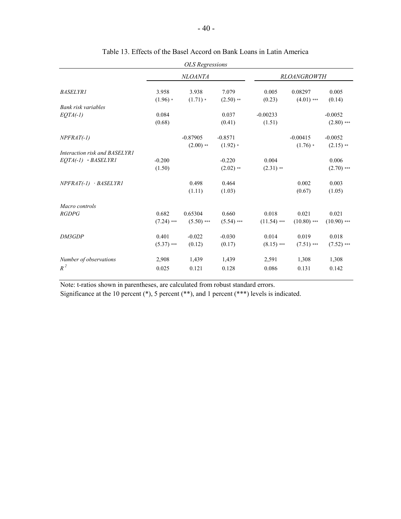|                               |              | <b>OLS</b> Regressions |              |               |                    |               |
|-------------------------------|--------------|------------------------|--------------|---------------|--------------------|---------------|
|                               |              | <b>NLOANTA</b>         |              |               | <b>RLOANGROWTH</b> |               |
| <b>BASELYR1</b>               | 3.958        | 3.938                  | 7.079        | 0.005         | 0.08297            | 0.005         |
|                               | $(1.96)$ *   | $(1.71) *$             | $(2.50)$ **  | (0.23)        | $(4.01)$ ***       | (0.14)        |
| Bank risk variables           |              |                        |              |               |                    |               |
| $EQTA(-1)$                    | 0.084        |                        | 0.037        | $-0.00233$    |                    | $-0.0052$     |
|                               | (0.68)       |                        | (0.41)       | (1.51)        |                    | $(2.80)$ ***  |
| $NPFRAT(-1)$                  |              | $-0.87905$             | $-0.8571$    |               | $-0.00415$         | $-0.0052$     |
|                               |              | $(2.00)$ **            | $(1.92)$ *   |               | $(1.76)$ *         | $(2.15)$ **   |
| Interaction risk and BASELYR1 |              |                        |              |               |                    |               |
| $EOTA(-1)$ · BASELYR1         | $-0.200$     |                        | $-0.220$     | 0.004         |                    | 0.006         |
|                               | (1.50)       |                        | $(2.02)$ **  | $(2.31)$ **   |                    | $(2.70)$ ***  |
| $NPFRAT(-1)$ $-BASELYRI$      |              | 0.498                  | 0.464        |               | 0.002              | 0.003         |
|                               |              | (1.11)                 | (1.03)       |               | (0.67)             | (1.05)        |
| Macro controls                |              |                        |              |               |                    |               |
| RGDPG                         | 0.682        | 0.65304                | 0.660        | 0.018         | 0.021              | 0.021         |
|                               | $(7.24)$ *** | $(5.50)$ ***           | $(5.54)$ *** | $(11.54)$ *** | $(10.80)$ ***      | $(10.90)$ *** |
| DM3GDP                        | 0.401        | $-0.022$               | $-0.030$     | 0.014         | 0.019              | 0.018         |
|                               | $(5.37)$ *** | (0.12)                 | (0.17)       | $(8.15)$ ***  | $(7.51)$ ***       | $(7.52)$ ***  |
| Number of observations        | 2,908        | 1,439                  | 1,439        | 2,591         | 1,308              | 1,308         |
| $R^2$                         | 0.025        | 0.121                  | 0.128        | 0.086         | 0.131              | 0.142         |
|                               |              |                        |              |               |                    |               |

### Table 13. Effects of the Basel Accord on Bank Loans in Latin America

Note: t-ratios shown in parentheses, are calculated from robust standard errors.

Significance at the 10 percent (\*), 5 percent (\*\*), and 1 percent (\*\*\*) levels is indicated.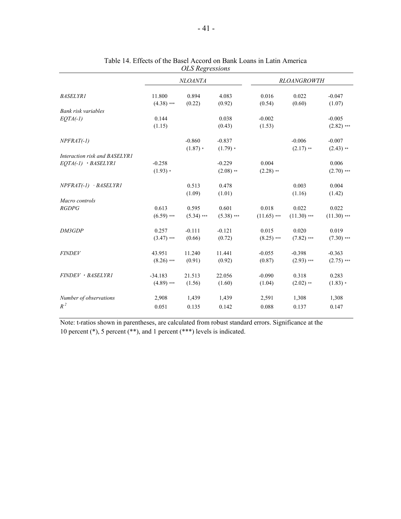|                               |              | <b>NLOANTA</b> |              |               | <b>RLOANGROWTH</b> |               |
|-------------------------------|--------------|----------------|--------------|---------------|--------------------|---------------|
| <b>BASELYR1</b>               | 11.800       | 0.894          | 4.083        | 0.016         | 0.022              | $-0.047$      |
|                               | $(4.38)$ *** | (0.22)         | (0.92)       | (0.54)        | (0.60)             | (1.07)        |
| Bank risk variables           |              |                |              |               |                    |               |
| $EQTA(-1)$                    | 0.144        |                | 0.038        | $-0.002$      |                    | $-0.005$      |
|                               | (1.15)       |                | (0.43)       | (1.53)        |                    | $(2.82)$ ***  |
| $NPFRAT(-1)$                  |              | $-0.860$       | $-0.837$     |               | $-0.006$           | $-0.007$      |
|                               |              | $(1.87) *$     | $(1.79) *$   |               | $(2.17)$ **        | $(2.43)$ **   |
| Interaction risk and BASELYR1 |              |                |              |               |                    |               |
| EQTA(-1) · BASELYR1           | $-0.258$     |                | $-0.229$     | 0.004         |                    | 0.006         |
|                               | $(1.93) *$   |                | $(2.08)$ **  | $(2.28)$ **   |                    | $(2.70)$ ***  |
| $NPFRAT(-1)$ $-BASELYRI$      |              | 0.513          | 0.478        |               | 0.003              | 0.004         |
|                               |              | (1.09)         | (1.01)       |               | (1.16)             | (1.42)        |
| Macro controls                |              |                |              |               |                    |               |
| <b>RGDPG</b>                  | 0.613        | 0.595          | 0.601        | 0.018         | 0.022              | 0.022         |
|                               | $(6.59)$ *** | $(5.34)$ ***   | $(5.38)$ *** | $(11.65)$ *** | $(11.30)$ ***      | $(11.30)$ *** |
| DM3GDP                        | 0.257        | $-0.111$       | $-0.121$     | 0.015         | 0.020              | 0.019         |
|                               | $(3.47)$ *** | (0.66)         | (0.72)       | $(8.25)$ ***  | $(7.82)$ ***       | $(7.30)$ ***  |
| <b>FINDEV</b>                 | 43.951       | 11.240         | 11.441       | $-0.055$      | $-0.398$           | $-0.363$      |
|                               | $(8.26)$ *** | (0.91)         | (0.92)       | (0.87)        | $(2.93)$ ***       | $(2.75)$ ***  |
| FINDEV · BASELYRI             | $-34.183$    | 21.513         | 22.056       | $-0.090$      | 0.318              | 0.283         |
|                               | $(4.89)$ *** | (1.56)         | (1.60)       | (1.04)        | $(2.02)$ **        | $(1.83) *$    |
| Number of observations        | 2,908        | 1,439          | 1,439        | 2,591         | 1,308              | 1,308         |
| $R^2$                         | 0.051        | 0.135          | 0.142        | 0.088         | 0.137              | 0.147         |
|                               |              |                |              |               |                    |               |

#### Table 14. Effects of the Basel Accord on Bank Loans in Latin America *OLS Regressions*

Note: t-ratios shown in parentheses, are calculated from robust standard errors. Significance at the 10 percent (\*), 5 percent (\*\*), and 1 percent (\*\*\*) levels is indicated.